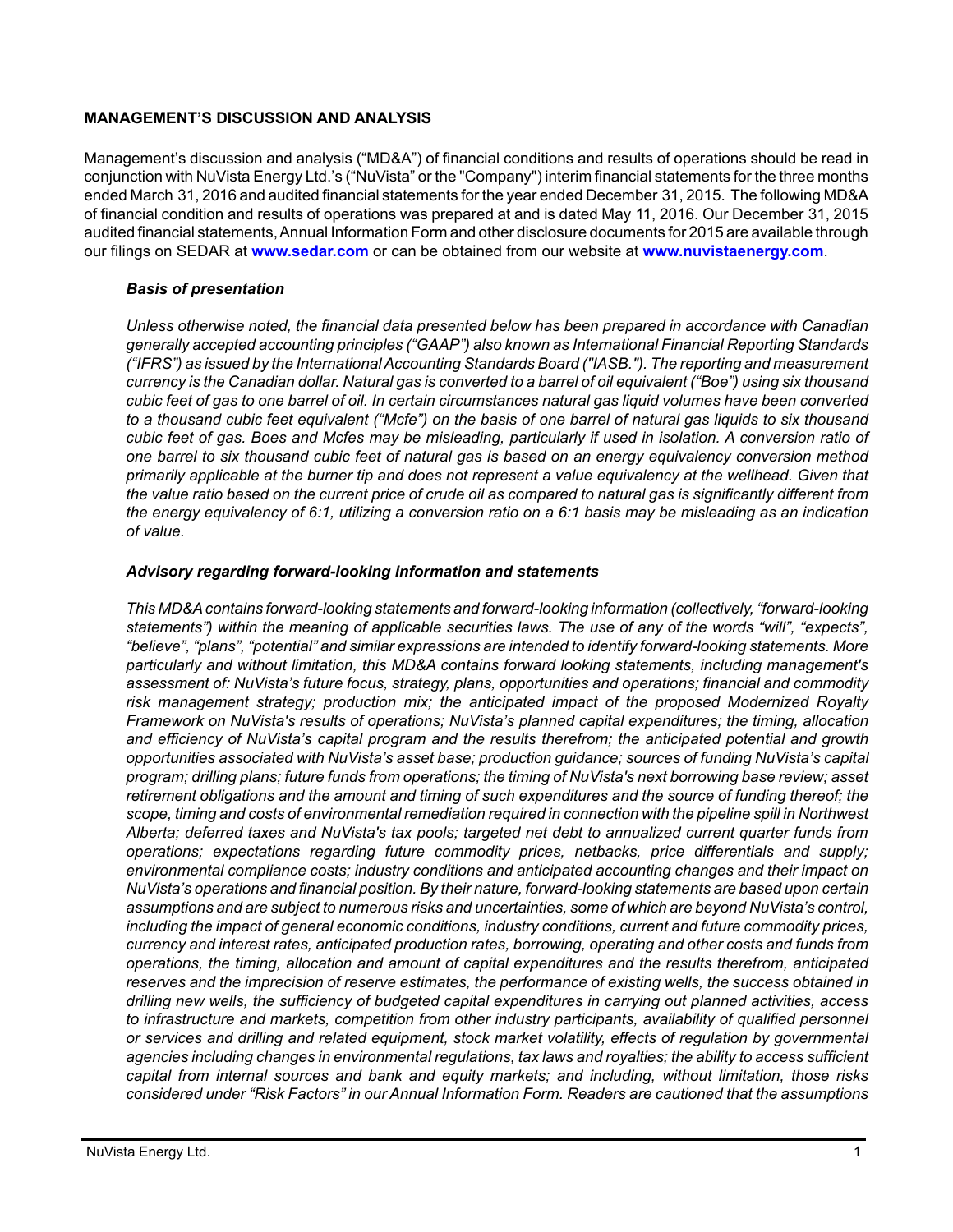# **MANAGEMENT'S DISCUSSION AND ANALYSIS**

Management's discussion and analysis ("MD&A") of financial conditions and results of operations should be read in conjunction with NuVista Energy Ltd.'s ("NuVista" or the "Company") interim financial statements for the three months ended March 31, 2016 and audited financial statements for the year ended December 31, 2015. The following MD&A of financial condition and results of operations was prepared at and is dated May 11, 2016. Our December 31, 2015 audited financial statements, Annual Information Form and other disclosure documents for 2015 are available through our filings on SEDAR at **[www.sedar.com](http://www.sedar.com)** or can be obtained from our website at **[www.nuvistaenergy.com](http://www.nuvistaenergy.com)**.

# *Basis of presentation*

*Unless otherwise noted, the financial data presented below has been prepared in accordance with Canadian generally accepted accounting principles ("GAAP") also known as International Financial Reporting Standards ("IFRS") as issued by the International Accounting Standards Board ("IASB."). The reporting and measurement currency is the Canadian dollar. Natural gas is converted to a barrel of oil equivalent ("Boe") using six thousand cubic feet of gas to one barrel of oil. In certain circumstances natural gas liquid volumes have been converted to a thousand cubic feet equivalent ("Mcfe") on the basis of one barrel of natural gas liquids to six thousand cubic feet of gas. Boes and Mcfes may be misleading, particularly if used in isolation. A conversion ratio of one barrel to six thousand cubic feet of natural gas is based on an energy equivalency conversion method primarily applicable at the burner tip and does not represent a value equivalency at the wellhead. Given that the value ratio based on the current price of crude oil as compared to natural gas is significantly different from the energy equivalency of 6:1, utilizing a conversion ratio on a 6:1 basis may be misleading as an indication of value.*

# *Advisory regarding forward-looking information and statements*

*This MD&A contains forward-looking statements and forward-looking information (collectively, "forward-looking statements") within the meaning of applicable securities laws. The use of any of the words "will", "expects", "believe", "plans", "potential" and similar expressions are intended to identify forward-looking statements. More particularly and without limitation, this MD&A contains forward looking statements, including management's assessment of: NuVista's future focus, strategy, plans, opportunities and operations; financial and commodity risk management strategy; production mix; the anticipated impact of the proposed Modernized Royalty Framework on NuVista's results of operations; NuVista's planned capital expenditures; the timing, allocation and efficiency of NuVista's capital program and the results therefrom; the anticipated potential and growth opportunities associated with NuVista's asset base; production guidance; sources of funding NuVista's capital program; drilling plans; future funds from operations; the timing of NuVista's next borrowing base review; asset retirement obligations and the amount and timing of such expenditures and the source of funding thereof; the scope, timing and costs of environmental remediation required in connection with the pipeline spill in Northwest Alberta; deferred taxes and NuVista's tax pools; targeted net debt to annualized current quarter funds from operations; expectations regarding future commodity prices, netbacks, price differentials and supply; environmental compliance costs; industry conditions and anticipated accounting changes and their impact on NuVista's operations and financial position. By their nature, forward-looking statements are based upon certain assumptions and are subject to numerous risks and uncertainties, some of which are beyond NuVista's control, including the impact of general economic conditions, industry conditions, current and future commodity prices, currency and interest rates, anticipated production rates, borrowing, operating and other costs and funds from operations, the timing, allocation and amount of capital expenditures and the results therefrom, anticipated reserves and the imprecision of reserve estimates, the performance of existing wells, the success obtained in drilling new wells, the sufficiency of budgeted capital expenditures in carrying out planned activities, access to infrastructure and markets, competition from other industry participants, availability of qualified personnel or services and drilling and related equipment, stock market volatility, effects of regulation by governmental agencies including changes in environmental regulations, tax laws and royalties; the ability to access sufficient capital from internal sources and bank and equity markets; and including, without limitation, those risks considered under "Risk Factors" in our Annual Information Form. Readers are cautioned that the assumptions*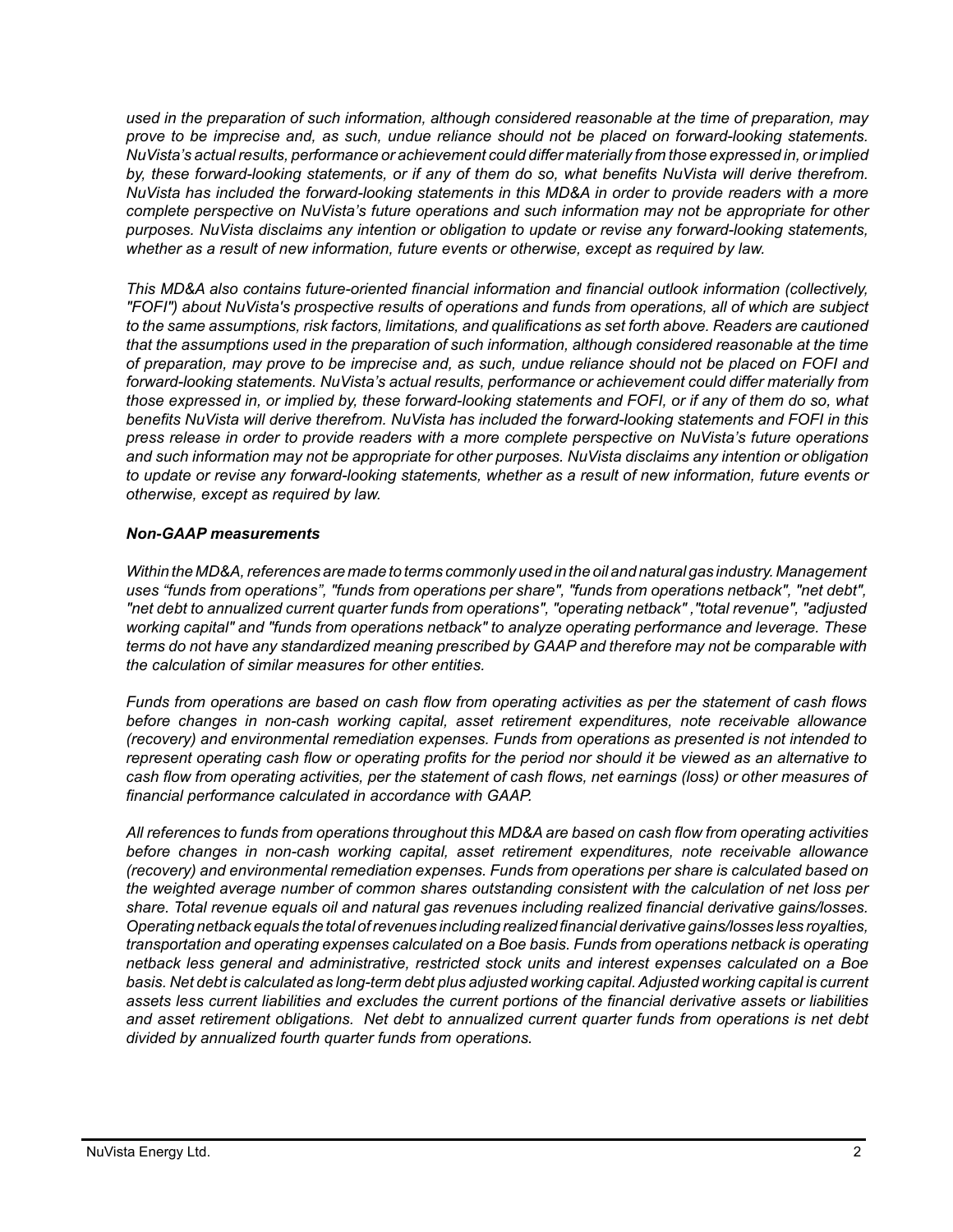*used in the preparation of such information, although considered reasonable at the time of preparation, may prove to be imprecise and, as such, undue reliance should not be placed on forward-looking statements. NuVista's actual results, performance or achievement could differ materially from those expressed in, or implied by, these forward-looking statements, or if any of them do so, what benefits NuVista will derive therefrom. NuVista has included the forward-looking statements in this MD&A in order to provide readers with a more complete perspective on NuVista's future operations and such information may not be appropriate for other purposes. NuVista disclaims any intention or obligation to update or revise any forward-looking statements, whether as a result of new information, future events or otherwise, except as required by law.*

*This MD&A also contains future-oriented financial information and financial outlook information (collectively, "FOFI") about NuVista's prospective results of operations and funds from operations, all of which are subject to the same assumptions, risk factors, limitations, and qualifications as set forth above. Readers are cautioned that the assumptions used in the preparation of such information, although considered reasonable at the time of preparation, may prove to be imprecise and, as such, undue reliance should not be placed on FOFI and forward-looking statements. NuVista's actual results, performance or achievement could differ materially from those expressed in, or implied by, these forward-looking statements and FOFI, or if any of them do so, what benefits NuVista will derive therefrom. NuVista has included the forward-looking statements and FOFI in this press release in order to provide readers with a more complete perspective on NuVista's future operations and such information may not be appropriate for other purposes. NuVista disclaims any intention or obligation to update or revise any forward-looking statements, whether as a result of new information, future events or otherwise, except as required by law.*

# *Non-GAAP measurements*

*Within the MD&A, references are made to terms commonly used in the oil and natural gas industry. Management uses "funds from operations", "funds from operations per share", "funds from operations netback", "net debt", "net debt to annualized current quarter funds from operations", "operating netback" ,"total revenue", "adjusted working capital" and "funds from operations netback" to analyze operating performance and leverage. These terms do not have any standardized meaning prescribed by GAAP and therefore may not be comparable with the calculation of similar measures for other entities.* 

*Funds from operations are based on cash flow from operating activities as per the statement of cash flows before changes in non-cash working capital, asset retirement expenditures, note receivable allowance (recovery) and environmental remediation expenses. Funds from operations as presented is not intended to represent operating cash flow or operating profits for the period nor should it be viewed as an alternative to cash flow from operating activities, per the statement of cash flows, net earnings (loss) or other measures of financial performance calculated in accordance with GAAP.*

*All references to funds from operations throughout this MD&A are based on cash flow from operating activities before changes in non-cash working capital, asset retirement expenditures, note receivable allowance (recovery) and environmental remediation expenses. Funds from operations per share is calculated based on the weighted average number of common shares outstanding consistent with the calculation of net loss per share. Total revenue equals oil and natural gas revenues including realized financial derivative gains/losses. Operating netback equals the total of revenues including realized financial derivative gains/losses less royalties, transportation and operating expenses calculated on a Boe basis. Funds from operations netback is operating netback less general and administrative, restricted stock units and interest expenses calculated on a Boe basis. Net debt is calculated as long-term debt plus adjusted working capital. Adjusted working capital is current assets less current liabilities and excludes the current portions of the financial derivative assets or liabilities and asset retirement obligations. Net debt to annualized current quarter funds from operations is net debt divided by annualized fourth quarter funds from operations.*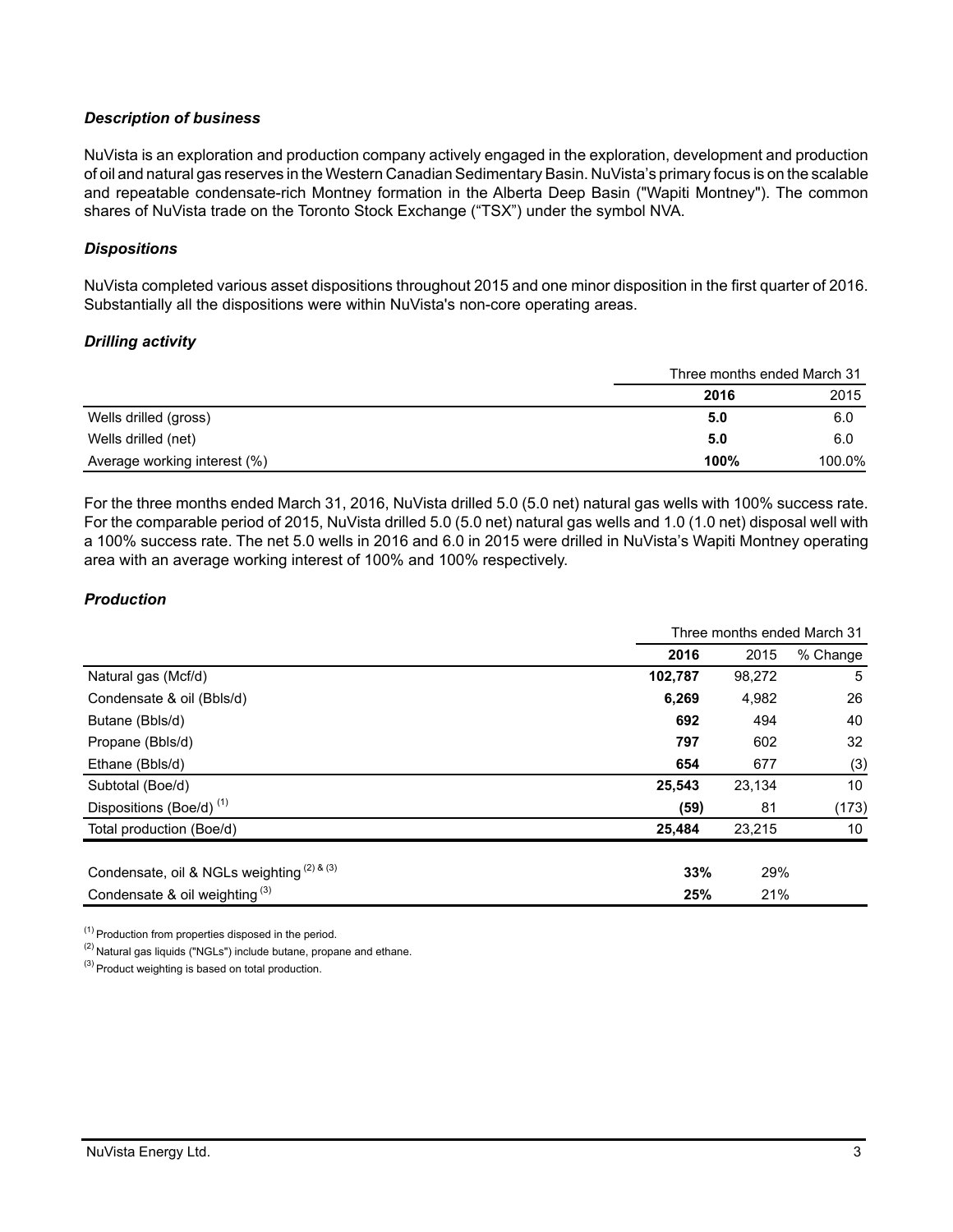# *Description of business*

NuVista is an exploration and production company actively engaged in the exploration, development and production of oil and natural gas reserves in the Western Canadian Sedimentary Basin. NuVista's primary focus is on the scalable and repeatable condensate-rich Montney formation in the Alberta Deep Basin ("Wapiti Montney"). The common shares of NuVista trade on the Toronto Stock Exchange ("TSX") under the symbol NVA.

# *Dispositions*

NuVista completed various asset dispositions throughout 2015 and one minor disposition in the first quarter of 2016. Substantially all the dispositions were within NuVista's non-core operating areas.

# *Drilling activity*

|                              | Three months ended March 31 |        |
|------------------------------|-----------------------------|--------|
|                              | 2016                        | 2015   |
| Wells drilled (gross)        | 5.0                         | 6.0    |
| Wells drilled (net)          | 5.0                         | 6.0    |
| Average working interest (%) | 100%                        | 100.0% |

For the three months ended March 31, 2016, NuVista drilled 5.0 (5.0 net) natural gas wells with 100% success rate. For the comparable period of 2015, NuVista drilled 5.0 (5.0 net) natural gas wells and 1.0 (1.0 net) disposal well with a 100% success rate. The net 5.0 wells in 2016 and 6.0 in 2015 were drilled in NuVista's Wapiti Montney operating area with an average working interest of 100% and 100% respectively.

# *Production*

|                                            | Three months ended March 31 |        |                 |
|--------------------------------------------|-----------------------------|--------|-----------------|
|                                            | 2016                        | 2015   | % Change        |
| Natural gas (Mcf/d)                        | 102,787                     | 98,272 | 5               |
| Condensate & oil (Bbls/d)                  | 6,269                       | 4,982  | 26              |
| Butane (Bbls/d)                            | 692                         | 494    | 40              |
| Propane (Bbls/d)                           | 797                         | 602    | 32              |
| Ethane (Bbls/d)                            | 654                         | 677    | (3)             |
| Subtotal (Boe/d)                           | 25,543                      | 23,134 | 10 <sup>°</sup> |
| Dispositions (Boe/d) <sup>(1)</sup>        | (59)                        | 81     | (173)           |
| Total production (Boe/d)                   | 25,484                      | 23,215 | 10              |
|                                            |                             |        |                 |
| Condensate, oil & NGLs weighting (2) & (3) | 33%                         | 29%    |                 |
| Condensate & oil weighting $(3)$           | 25%                         | 21%    |                 |

(1) Production from properties disposed in the period.

(2) Natural gas liquids ("NGLs") include butane, propane and ethane.

(3) Product weighting is based on total production.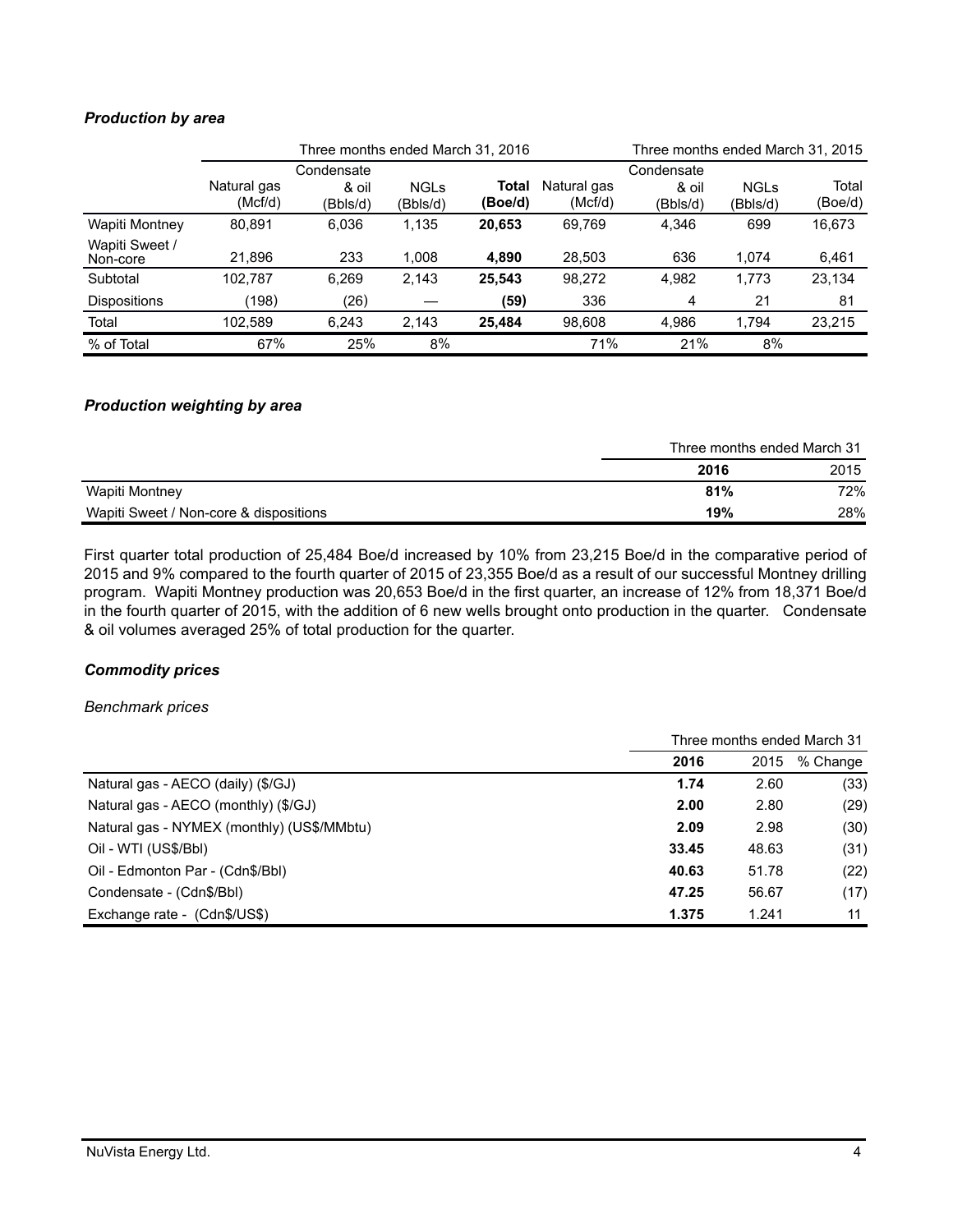# *Production by area*

|                            | Three months ended March 31, 2016 |                                 |                         |                  |                        | Three months ended March 31, 2015 |                         |                  |
|----------------------------|-----------------------------------|---------------------------------|-------------------------|------------------|------------------------|-----------------------------------|-------------------------|------------------|
|                            | Natural gas<br>(Mcf/d)            | Condensate<br>& oil<br>(Bbls/d) | <b>NGLs</b><br>(Bbls/d) | Total<br>(Boe/d) | Natural gas<br>(Mcf/d) | Condensate<br>& oil<br>(Bbls/d)   | <b>NGLs</b><br>(Bbls/d) | Total<br>(Boe/d) |
| Wapiti Montney             | 80.891                            | 6,036                           | 1,135                   | 20,653           | 69.769                 | 4.346                             | 699                     | 16,673           |
| Wapiti Sweet /<br>Non-core | 21,896                            | 233                             | 1,008                   | 4,890            | 28,503                 | 636                               | 1.074                   | 6,461            |
| Subtotal                   | 102.787                           | 6,269                           | 2,143                   | 25,543           | 98,272                 | 4,982                             | 1,773                   | 23,134           |
| <b>Dispositions</b>        | (198)                             | (26)                            |                         | (59)             | 336                    | 4                                 | 21                      | 81               |
| Total                      | 102,589                           | 6,243                           | 2,143                   | 25.484           | 98.608                 | 4.986                             | 1.794                   | 23,215           |
| % of Total                 | 67%                               | 25%                             | 8%                      |                  | 71%                    | 21%                               | 8%                      |                  |

# *Production weighting by area*

|                                        |      | Three months ended March 31 |
|----------------------------------------|------|-----------------------------|
|                                        | 2016 | 2015                        |
| Wapiti Montney                         | 81%  | 72%                         |
| Wapiti Sweet / Non-core & dispositions | 19%  | 28%                         |

First quarter total production of 25,484 Boe/d increased by 10% from 23,215 Boe/d in the comparative period of 2015 and 9% compared to the fourth quarter of 2015 of 23,355 Boe/d as a result of our successful Montney drilling program. Wapiti Montney production was 20,653 Boe/d in the first quarter, an increase of 12% from 18,371 Boe/d in the fourth quarter of 2015, with the addition of 6 new wells brought onto production in the quarter. Condensate & oil volumes averaged 25% of total production for the quarter.

# *Commodity prices*

#### *Benchmark prices*

|                                            | Three months ended March 31 |       |          |
|--------------------------------------------|-----------------------------|-------|----------|
|                                            | 2016                        | 2015  | % Change |
| Natural gas - AECO (daily) (\$/GJ)         | 1.74                        | 2.60  | (33)     |
| Natural gas - AECO (monthly) (\$/GJ)       | 2.00                        | 2.80  | (29)     |
| Natural gas - NYMEX (monthly) (US\$/MMbtu) | 2.09                        | 2.98  | (30)     |
| Oil - WTI (US\$/BbI)                       | 33.45                       | 48.63 | (31)     |
| Oil - Edmonton Par - (Cdn\$/Bbl)           | 40.63                       | 51.78 | (22)     |
| Condensate - (Cdn\$/Bbl)                   | 47.25                       | 56.67 | (17)     |
| Exchange rate - (Cdn\$/US\$)               | 1.375                       | 1.241 | 11       |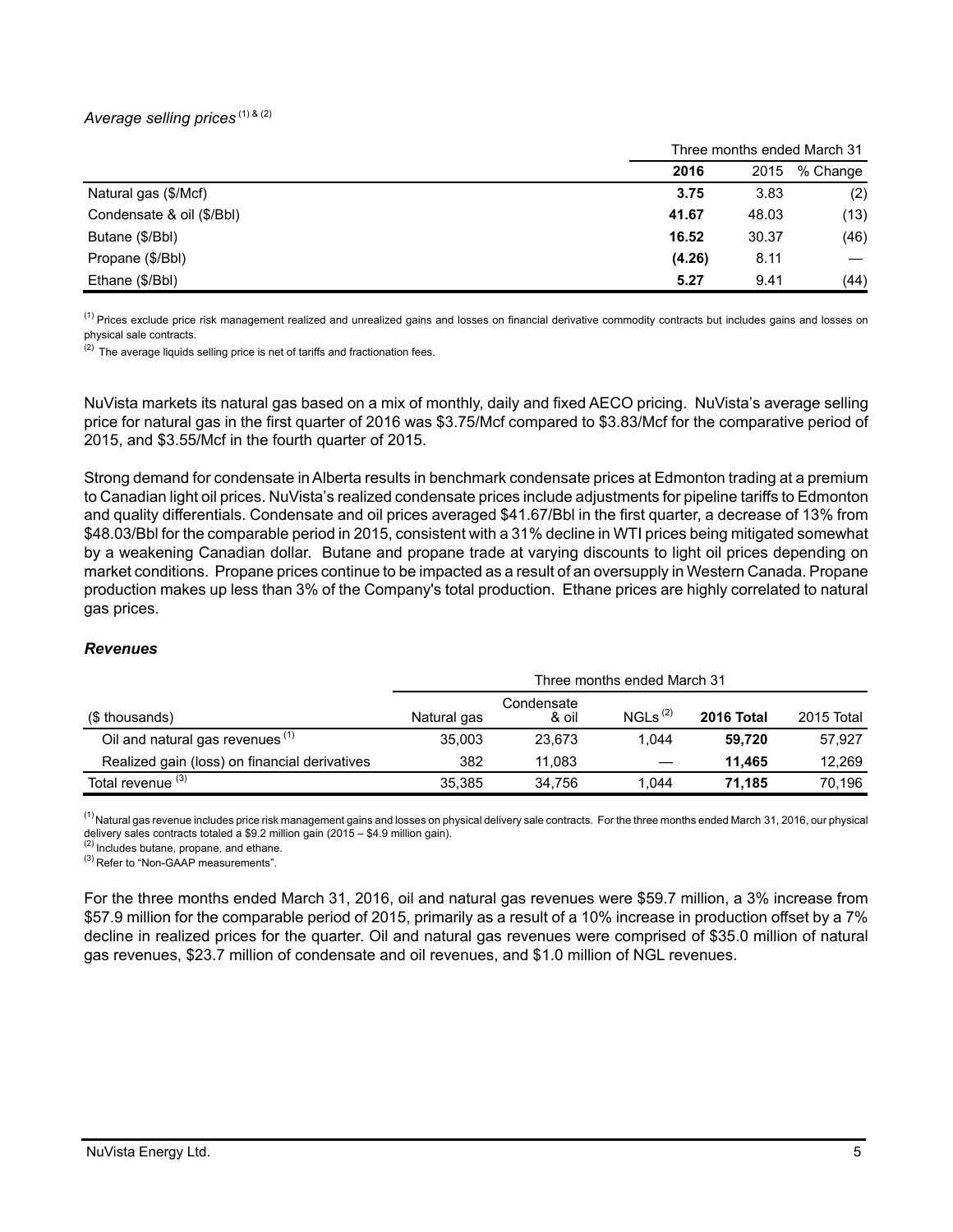# *Average selling prices* (1) & (2)

|                           | Three months ended March 31 |       |          |
|---------------------------|-----------------------------|-------|----------|
|                           | 2016                        | 2015  | % Change |
| Natural gas (\$/Mcf)      | 3.75                        | 3.83  | (2)      |
| Condensate & oil (\$/Bbl) | 41.67                       | 48.03 | (13)     |
| Butane (\$/Bbl)           | 16.52                       | 30.37 | (46)     |
| Propane (\$/Bbl)          | (4.26)                      | 8.11  |          |
| Ethane (\$/Bbl)           | 5.27                        | 9.41  | (44)     |

<sup>(1)</sup> Prices exclude price risk management realized and unrealized gains and losses on financial derivative commodity contracts but includes gains and losses on physical sale contracts.

 $(2)$  The average liquids selling price is net of tariffs and fractionation fees.

NuVista markets its natural gas based on a mix of monthly, daily and fixed AECO pricing. NuVista's average selling price for natural gas in the first quarter of 2016 was \$3.75/Mcf compared to \$3.83/Mcf for the comparative period of 2015, and \$3.55/Mcf in the fourth quarter of 2015.

Strong demand for condensate in Alberta results in benchmark condensate prices at Edmonton trading at a premium to Canadian light oil prices. NuVista's realized condensate prices include adjustments for pipeline tariffs to Edmonton and quality differentials. Condensate and oil prices averaged \$41.67/Bbl in the first quarter, a decrease of 13% from \$48.03/Bbl for the comparable period in 2015, consistent with a 31% decline in WTI prices being mitigated somewhat by a weakening Canadian dollar. Butane and propane trade at varying discounts to light oil prices depending on market conditions. Propane prices continue to be impacted as a result of an oversupply in Western Canada. Propane production makes up less than 3% of the Company's total production. Ethane prices are highly correlated to natural gas prices.

#### *Revenues*

|                                               | Three months ended March 31 |                     |                     |            |            |  |
|-----------------------------------------------|-----------------------------|---------------------|---------------------|------------|------------|--|
| (\$ thousands)                                | Natural gas                 | Condensate<br>& oil | NGLs <sup>(2)</sup> | 2016 Total | 2015 Total |  |
| Oil and natural gas revenues <sup>(1)</sup>   | 35,003                      | 23.673              | 1.044               | 59.720     | 57.927     |  |
| Realized gain (loss) on financial derivatives | 382                         | 11.083              |                     | 11.465     | 12.269     |  |
| Total revenue <sup>(3)</sup>                  | 35.385                      | 34.756              | 1.044               | 71.185     | 70.196     |  |

 $^{(1)}$ Natural gas revenue includes price risk management gains and losses on physical delivery sale contracts. For the three months ended March 31, 2016, our physical delivery sales contracts totaled a \$9.2 million gain (2015 – \$4.9 million gain).

(2) Includes butane, propane, and ethane.

(3) Refer to "Non-GAAP measurements".

For the three months ended March 31, 2016, oil and natural gas revenues were \$59.7 million, a 3% increase from \$57.9 million for the comparable period of 2015, primarily as a result of a 10% increase in production offset by a 7% decline in realized prices for the quarter. Oil and natural gas revenues were comprised of \$35.0 million of natural gas revenues, \$23.7 million of condensate and oil revenues, and \$1.0 million of NGL revenues.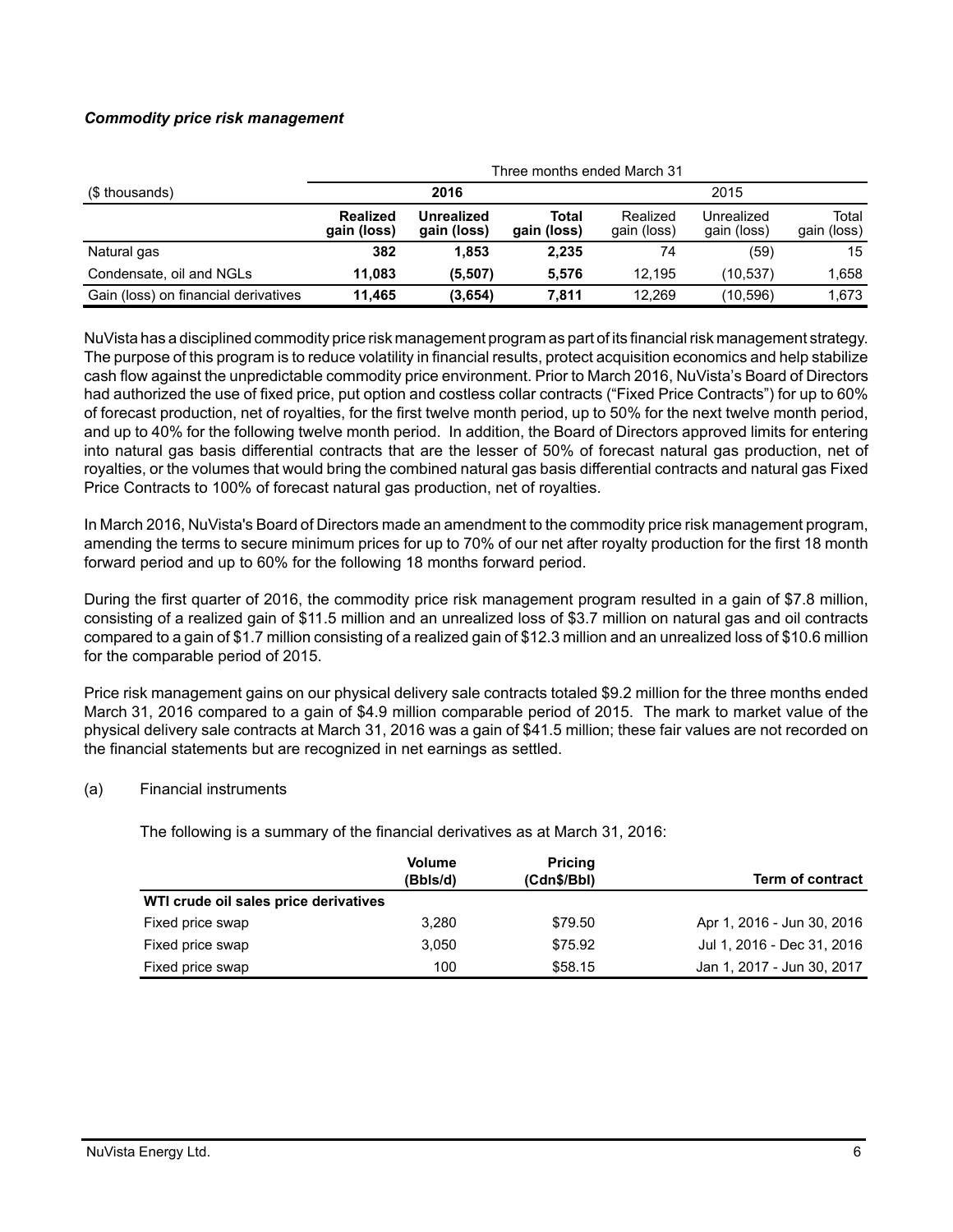# *Commodity price risk management*

|                                      | Three months ended March 31    |                                  |                      |                         |                           |                      |
|--------------------------------------|--------------------------------|----------------------------------|----------------------|-------------------------|---------------------------|----------------------|
| (\$ thousands)                       | 2016                           |                                  |                      | 2015                    |                           |                      |
|                                      | <b>Realized</b><br>gain (loss) | <b>Unrealized</b><br>gain (loss) | Total<br>gain (loss) | Realized<br>gain (loss) | Unrealized<br>gain (loss) | Total<br>gain (loss) |
| Natural gas                          | 382                            | 1.853                            | 2,235                | 74                      | (59)                      | 15                   |
| Condensate, oil and NGLs             | 11,083                         | (5,507)                          | 5.576                | 12.195                  | (10, 537)                 | 1,658                |
| Gain (loss) on financial derivatives | 11.465                         | (3,654)                          | 7.811                | 12.269                  | (10, 596)                 | 1.673                |

NuVista has a disciplined commodity price risk management program as part of its financial risk management strategy. The purpose of this program is to reduce volatility in financial results, protect acquisition economics and help stabilize cash flow against the unpredictable commodity price environment. Prior to March 2016, NuVista's Board of Directors had authorized the use of fixed price, put option and costless collar contracts ("Fixed Price Contracts") for up to 60% of forecast production, net of royalties, for the first twelve month period, up to 50% for the next twelve month period, and up to 40% for the following twelve month period. In addition, the Board of Directors approved limits for entering into natural gas basis differential contracts that are the lesser of 50% of forecast natural gas production, net of royalties, or the volumes that would bring the combined natural gas basis differential contracts and natural gas Fixed Price Contracts to 100% of forecast natural gas production, net of royalties.

In March 2016, NuVista's Board of Directors made an amendment to the commodity price risk management program, amending the terms to secure minimum prices for up to 70% of our net after royalty production for the first 18 month forward period and up to 60% for the following 18 months forward period.

During the first quarter of 2016, the commodity price risk management program resulted in a gain of \$7.8 million, consisting of a realized gain of \$11.5 million and an unrealized loss of \$3.7 million on natural gas and oil contracts compared to a gain of \$1.7 million consisting of a realized gain of \$12.3 million and an unrealized loss of \$10.6 million for the comparable period of 2015.

Price risk management gains on our physical delivery sale contracts totaled \$9.2 million for the three months ended March 31, 2016 compared to a gain of \$4.9 million comparable period of 2015. The mark to market value of the physical delivery sale contracts at March 31, 2016 was a gain of \$41.5 million; these fair values are not recorded on the financial statements but are recognized in net earnings as settled.

# (a) Financial instruments

The following is a summary of the financial derivatives as at March 31, 2016:

|                                       | <b>Volume</b><br>(Bbls/d) | <b>Pricing</b><br>(Cdn\$/Bbl) | <b>Term of contract</b>    |
|---------------------------------------|---------------------------|-------------------------------|----------------------------|
| WTI crude oil sales price derivatives |                           |                               |                            |
| Fixed price swap                      | 3.280                     | \$79.50                       | Apr 1, 2016 - Jun 30, 2016 |
| Fixed price swap                      | 3.050                     | \$75.92                       | Jul 1, 2016 - Dec 31, 2016 |
| Fixed price swap                      | 100                       | \$58.15                       | Jan 1, 2017 - Jun 30, 2017 |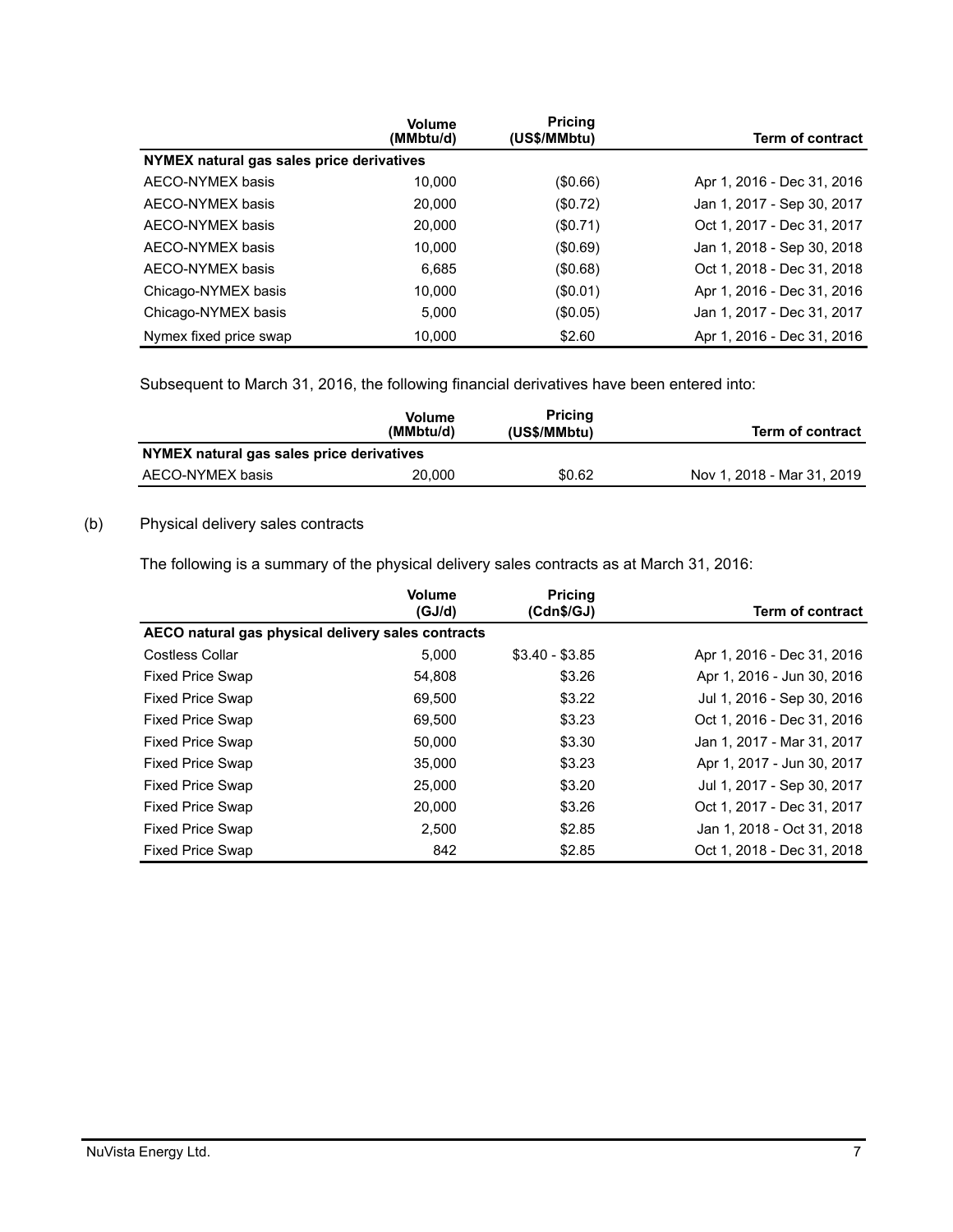|                                           | <b>Volume</b><br>(MMbtu/d) | <b>Pricing</b><br>(US\$/MMbtu) | Term of contract           |
|-------------------------------------------|----------------------------|--------------------------------|----------------------------|
| NYMEX natural gas sales price derivatives |                            |                                |                            |
| AECO-NYMEX basis                          | 10.000                     | $($ \$0.66)                    | Apr 1, 2016 - Dec 31, 2016 |
| AECO-NYMEX basis                          | 20,000                     | (\$0.72)                       | Jan 1, 2017 - Sep 30, 2017 |
| AECO-NYMEX basis                          | 20,000                     | (\$0.71)                       | Oct 1, 2017 - Dec 31, 2017 |
| AECO-NYMEX basis                          | 10,000                     | (\$0.69)                       | Jan 1, 2018 - Sep 30, 2018 |
| AECO-NYMEX basis                          | 6.685                      | (\$0.68)                       | Oct 1, 2018 - Dec 31, 2018 |
| Chicago-NYMEX basis                       | 10.000                     | (S0.01)                        | Apr 1, 2016 - Dec 31, 2016 |
| Chicago-NYMEX basis                       | 5.000                      | $(\$0.05)$                     | Jan 1, 2017 - Dec 31, 2017 |
| Nymex fixed price swap                    | 10,000                     | \$2.60                         | Apr 1, 2016 - Dec 31, 2016 |

Subsequent to March 31, 2016, the following financial derivatives have been entered into:

|                                           | <b>Volume</b><br>(MMbtu/d) | <b>Pricing</b><br>(US\$/MMbtu) | <b>Term of contract</b>    |
|-------------------------------------------|----------------------------|--------------------------------|----------------------------|
| NYMEX natural gas sales price derivatives |                            |                                |                            |
| AECO-NYMEX basis                          | 20,000                     | \$0.62                         | Nov 1, 2018 - Mar 31, 2019 |

# (b) Physical delivery sales contracts

The following is a summary of the physical delivery sales contracts as at March 31, 2016:

|                                                    | Volume<br>(GJ/d) | <b>Pricing</b><br>(Cdn\$/GJ) | <b>Term of contract</b>    |
|----------------------------------------------------|------------------|------------------------------|----------------------------|
| AECO natural gas physical delivery sales contracts |                  |                              |                            |
| <b>Costless Collar</b>                             | 5.000            | $$3.40 - $3.85$              | Apr 1, 2016 - Dec 31, 2016 |
| <b>Fixed Price Swap</b>                            | 54,808           | \$3.26                       | Apr 1, 2016 - Jun 30, 2016 |
| <b>Fixed Price Swap</b>                            | 69,500           | \$3.22                       | Jul 1, 2016 - Sep 30, 2016 |
| <b>Fixed Price Swap</b>                            | 69,500           | \$3.23                       | Oct 1, 2016 - Dec 31, 2016 |
| <b>Fixed Price Swap</b>                            | 50,000           | \$3.30                       | Jan 1, 2017 - Mar 31, 2017 |
| <b>Fixed Price Swap</b>                            | 35,000           | \$3.23                       | Apr 1, 2017 - Jun 30, 2017 |
| <b>Fixed Price Swap</b>                            | 25,000           | \$3.20                       | Jul 1, 2017 - Sep 30, 2017 |
| <b>Fixed Price Swap</b>                            | 20,000           | \$3.26                       | Oct 1, 2017 - Dec 31, 2017 |
| <b>Fixed Price Swap</b>                            | 2.500            | \$2.85                       | Jan 1, 2018 - Oct 31, 2018 |
| <b>Fixed Price Swap</b>                            | 842              | \$2.85                       | Oct 1, 2018 - Dec 31, 2018 |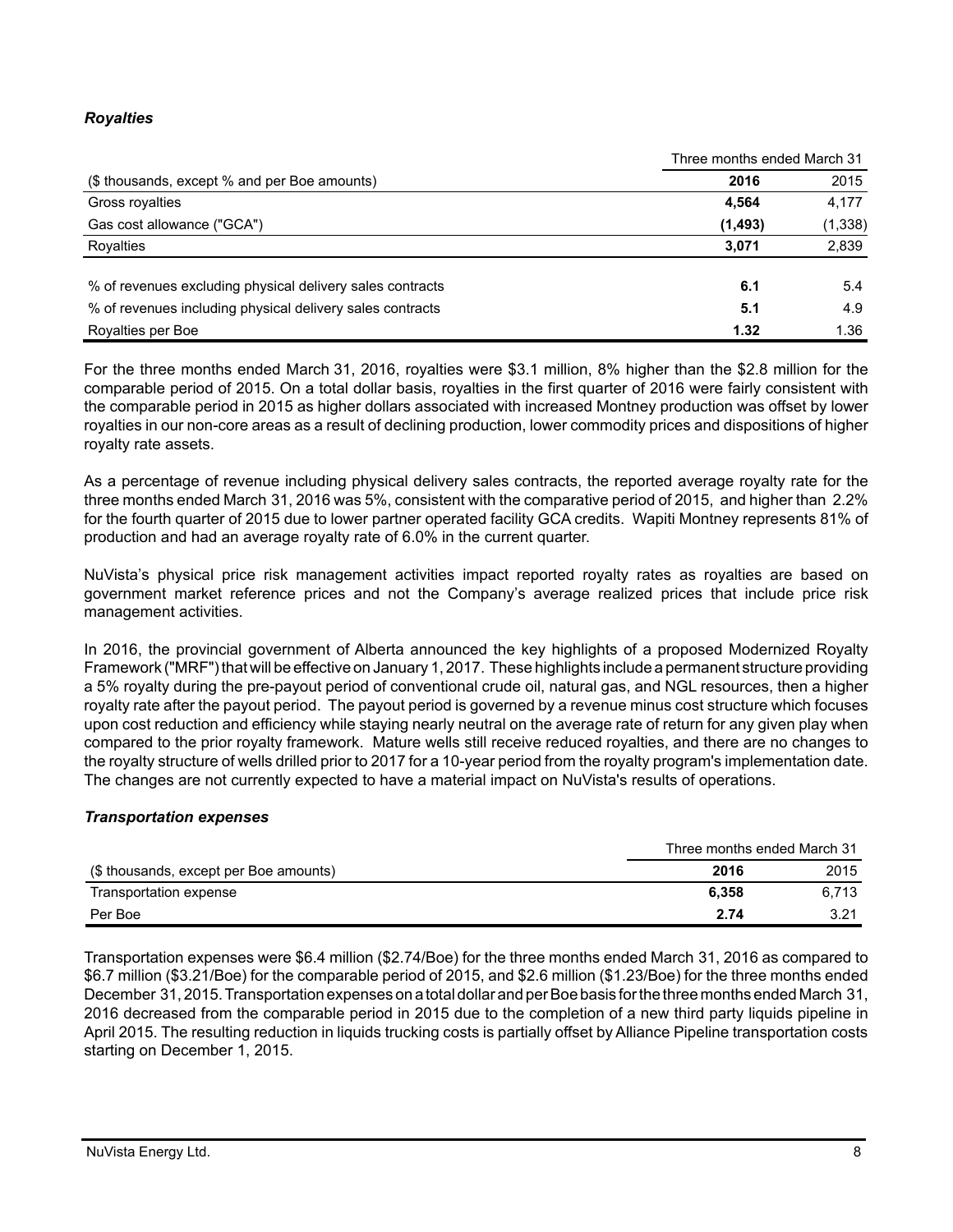# *Royalties*

|                                                           |          | Three months ended March 31 |  |
|-----------------------------------------------------------|----------|-----------------------------|--|
| (\$ thousands, except % and per Boe amounts)              | 2016     | 2015                        |  |
| Gross royalties                                           | 4.564    | 4.177                       |  |
| Gas cost allowance ("GCA")                                | (1, 493) | (1, 338)                    |  |
| Royalties                                                 | 3,071    | 2,839                       |  |
| % of revenues excluding physical delivery sales contracts | 6.1      | 5.4                         |  |
| % of revenues including physical delivery sales contracts | 5.1      | 4.9                         |  |
| Royalties per Boe                                         | 1.32     | 1.36                        |  |

For the three months ended March 31, 2016, royalties were \$3.1 million, 8% higher than the \$2.8 million for the comparable period of 2015. On a total dollar basis, royalties in the first quarter of 2016 were fairly consistent with the comparable period in 2015 as higher dollars associated with increased Montney production was offset by lower royalties in our non-core areas as a result of declining production, lower commodity prices and dispositions of higher royalty rate assets.

As a percentage of revenue including physical delivery sales contracts, the reported average royalty rate for the three months ended March 31, 2016 was 5%, consistent with the comparative period of 2015, and higher than 2.2% for the fourth quarter of 2015 due to lower partner operated facility GCA credits. Wapiti Montney represents 81% of production and had an average royalty rate of 6.0% in the current quarter.

NuVista's physical price risk management activities impact reported royalty rates as royalties are based on government market reference prices and not the Company's average realized prices that include price risk management activities.

In 2016, the provincial government of Alberta announced the key highlights of a proposed Modernized Royalty Framework ("MRF") that will be effective on January 1, 2017. These highlights include a permanent structure providing a 5% royalty during the pre-payout period of conventional crude oil, natural gas, and NGL resources, then a higher royalty rate after the payout period. The payout period is governed by a revenue minus cost structure which focuses upon cost reduction and efficiency while staying nearly neutral on the average rate of return for any given play when compared to the prior royalty framework. Mature wells still receive reduced royalties, and there are no changes to the royalty structure of wells drilled prior to 2017 for a 10-year period from the royalty program's implementation date. The changes are not currently expected to have a material impact on NuVista's results of operations.

# *Transportation expenses*

|                                        | Three months ended March 31 |       |
|----------------------------------------|-----------------------------|-------|
| (\$ thousands, except per Boe amounts) | 2016                        | 2015  |
| Transportation expense                 | 6.358                       | 6.713 |
| Per Boe                                | 2.74                        | 3.21  |

Transportation expenses were \$6.4 million (\$2.74/Boe) for the three months ended March 31, 2016 as compared to \$6.7 million (\$3.21/Boe) for the comparable period of 2015, and \$2.6 million (\$1.23/Boe) for the three months ended December 31, 2015. Transportation expenses on a total dollar and per Boe basis for the three months ended March 31, 2016 decreased from the comparable period in 2015 due to the completion of a new third party liquids pipeline in April 2015. The resulting reduction in liquids trucking costs is partially offset by Alliance Pipeline transportation costs starting on December 1, 2015.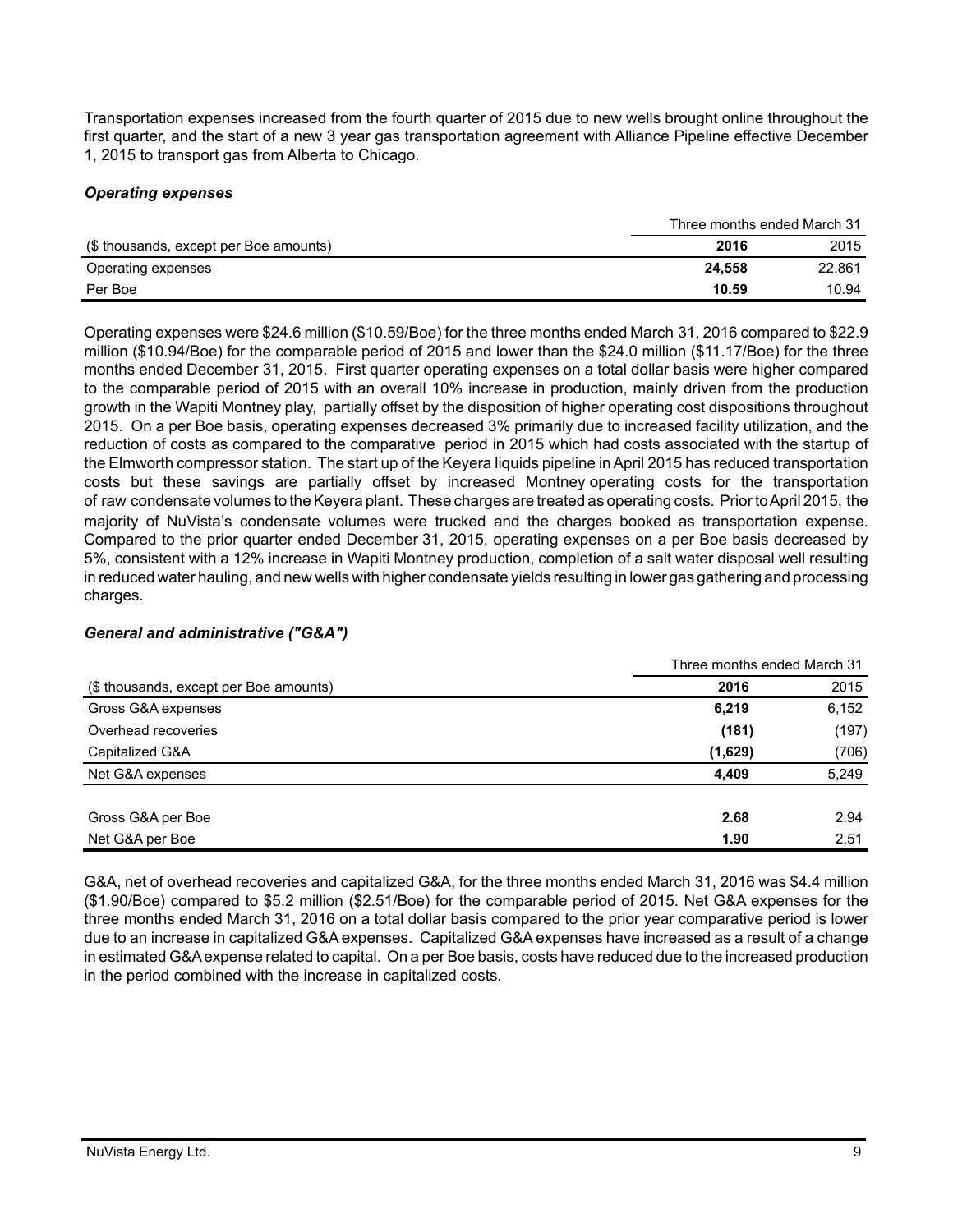Transportation expenses increased from the fourth quarter of 2015 due to new wells brought online throughout the first quarter, and the start of a new 3 year gas transportation agreement with Alliance Pipeline effective December 1, 2015 to transport gas from Alberta to Chicago.

# *Operating expenses*

|                                        | Three months ended March 31 |        |
|----------------------------------------|-----------------------------|--------|
| (\$ thousands, except per Boe amounts) | 2016                        | 2015   |
| Operating expenses                     | 24.558                      | 22.861 |
| Per Boe                                | 10.59                       | 10.94  |

Operating expenses were \$24.6 million (\$10.59/Boe) for the three months ended March 31, 2016 compared to \$22.9 million (\$10.94/Boe) for the comparable period of 2015 and lower than the \$24.0 million (\$11.17/Boe) for the three months ended December 31, 2015. First quarter operating expenses on a total dollar basis were higher compared to the comparable period of 2015 with an overall 10% increase in production, mainly driven from the production growth in the Wapiti Montney play, partially offset by the disposition of higher operating cost dispositions throughout 2015. On a per Boe basis, operating expenses decreased 3% primarily due to increased facility utilization, and the reduction of costs as compared to the comparative period in 2015 which had costs associated with the startup of the Elmworth compressor station. The start up of the Keyera liquids pipeline in April 2015 has reduced transportation costs but these savings are partially offset by increased Montney operating costs for the transportation of raw condensate volumes to the Keyera plant. These charges are treated as operating costs. Prior to April 2015, the majority of NuVista's condensate volumes were trucked and the charges booked as transportation expense. Compared to the prior quarter ended December 31, 2015, operating expenses on a per Boe basis decreased by 5%, consistent with a 12% increase in Wapiti Montney production, completion of a salt water disposal well resulting in reduced water hauling, and new wells with higher condensate yields resulting in lower gas gathering and processing charges.

# *General and administrative ("G&A")*

|                                        | Three months ended March 31 |       |
|----------------------------------------|-----------------------------|-------|
| (\$ thousands, except per Boe amounts) | 2016                        | 2015  |
| Gross G&A expenses                     | 6,219                       | 6,152 |
| Overhead recoveries                    | (181)                       | (197) |
| Capitalized G&A                        | (1,629)                     | (706) |
| Net G&A expenses                       | 4.409                       | 5,249 |
| Gross G&A per Boe                      | 2.68                        | 2.94  |
| Net G&A per Boe                        | 1.90                        | 2.51  |

G&A, net of overhead recoveries and capitalized G&A, for the three months ended March 31, 2016 was \$4.4 million (\$1.90/Boe) compared to \$5.2 million (\$2.51/Boe) for the comparable period of 2015. Net G&A expenses for the three months ended March 31, 2016 on a total dollar basis compared to the prior year comparative period is lower due to an increase in capitalized G&A expenses. Capitalized G&A expenses have increased as a result of a change in estimated G&A expense related to capital. On a per Boe basis, costs have reduced due to the increased production in the period combined with the increase in capitalized costs.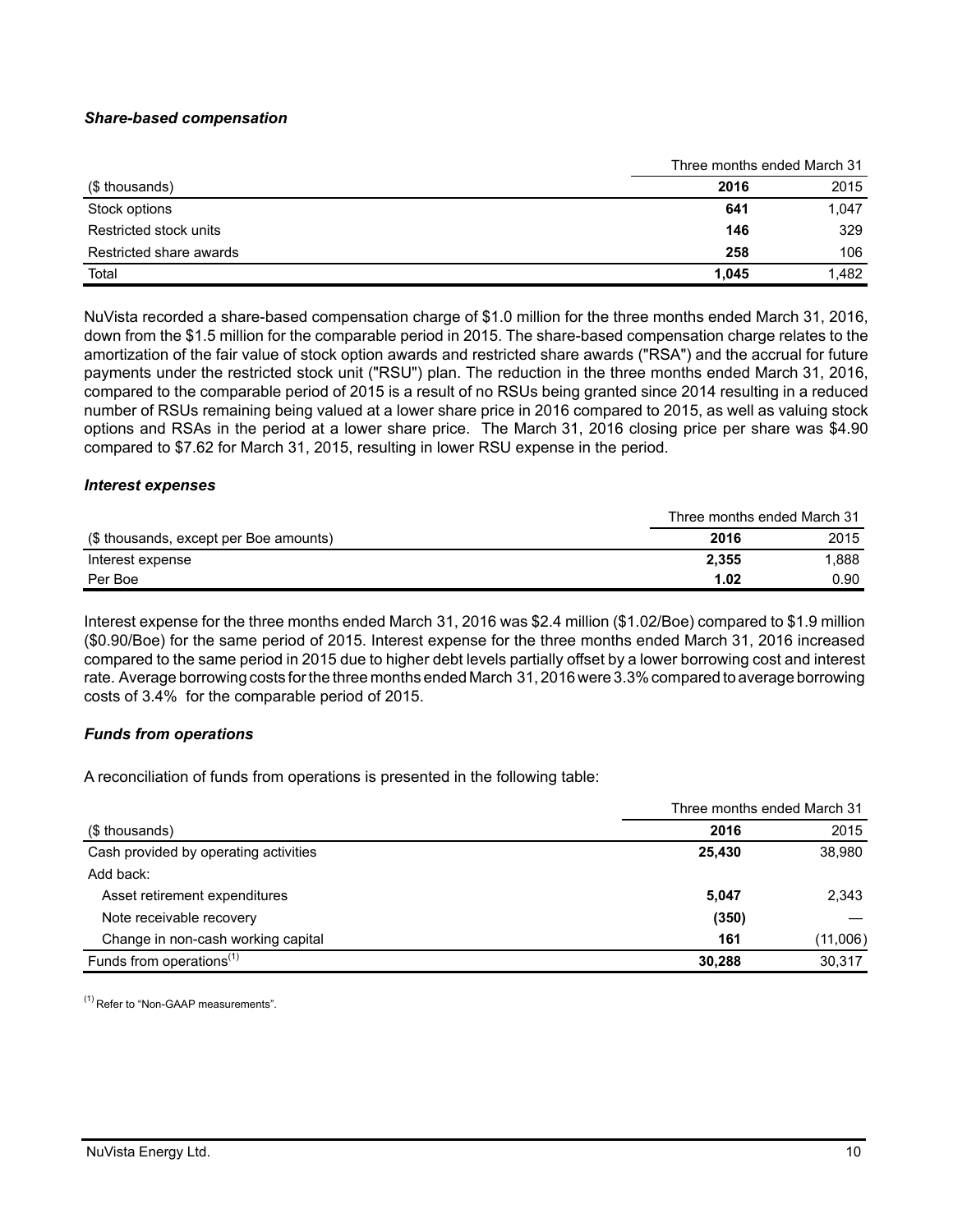### *Share-based compensation*

|                         | Three months ended March 31 |       |
|-------------------------|-----------------------------|-------|
| (\$ thousands)          | 2016                        | 2015  |
| Stock options           | 641                         | 1,047 |
| Restricted stock units  | 146                         | 329   |
| Restricted share awards | 258                         | 106   |
| Total                   | 1.045                       | 1,482 |

NuVista recorded a share-based compensation charge of \$1.0 million for the three months ended March 31, 2016, down from the \$1.5 million for the comparable period in 2015. The share-based compensation charge relates to the amortization of the fair value of stock option awards and restricted share awards ("RSA") and the accrual for future payments under the restricted stock unit ("RSU") plan. The reduction in the three months ended March 31, 2016, compared to the comparable period of 2015 is a result of no RSUs being granted since 2014 resulting in a reduced number of RSUs remaining being valued at a lower share price in 2016 compared to 2015, as well as valuing stock options and RSAs in the period at a lower share price. The March 31, 2016 closing price per share was \$4.90 compared to \$7.62 for March 31, 2015, resulting in lower RSU expense in the period.

#### *Interest expenses*

|                                        | Three months ended March 31 |       |
|----------------------------------------|-----------------------------|-------|
| (\$ thousands, except per Boe amounts) | 2016                        | 2015  |
| Interest expense                       | 2.355                       | 1.888 |
| Per Boe                                | 1.02                        | 0.90  |

Interest expense for the three months ended March 31, 2016 was \$2.4 million (\$1.02/Boe) compared to \$1.9 million (\$0.90/Boe) for the same period of 2015. Interest expense for the three months ended March 31, 2016 increased compared to the same period in 2015 due to higher debt levels partially offset by a lower borrowing cost and interest rate. Average borrowing costs for the three months ended March 31, 2016 were 3.3% compared to average borrowing costs of 3.4% for the comparable period of 2015.

#### *Funds from operations*

A reconciliation of funds from operations is presented in the following table:

|                                       | Three months ended March 31 |          |
|---------------------------------------|-----------------------------|----------|
| (\$ thousands)                        | 2016                        | 2015     |
| Cash provided by operating activities | 25,430                      | 38,980   |
| Add back:                             |                             |          |
| Asset retirement expenditures         | 5,047                       | 2,343    |
| Note receivable recovery              | (350)                       |          |
| Change in non-cash working capital    | 161                         | (11,006) |
| Funds from operations <sup>(1)</sup>  | 30.288                      | 30,317   |

(1) Refer to "Non-GAAP measurements".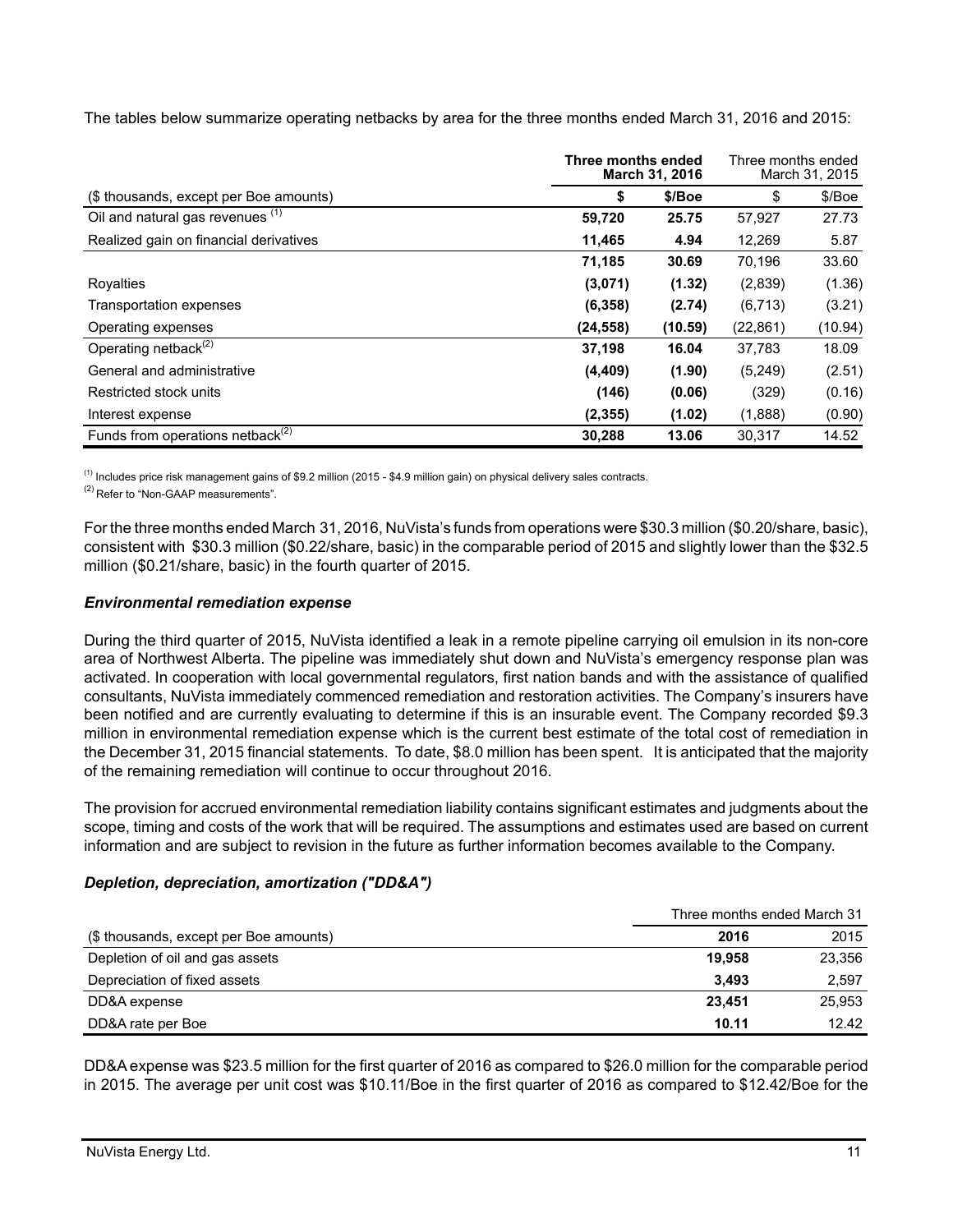The tables below summarize operating netbacks by area for the three months ended March 31, 2016 and 2015:

|                                              | Three months ended<br>March 31, 2016 |         |           |         | Three months ended | March 31, 2015 |
|----------------------------------------------|--------------------------------------|---------|-----------|---------|--------------------|----------------|
| (\$ thousands, except per Boe amounts)       | \$                                   | \$/Boe  | \$        | \$/Boe  |                    |                |
| Oil and natural gas revenues (1)             | 59,720                               | 25.75   | 57,927    | 27.73   |                    |                |
| Realized gain on financial derivatives       | 11,465                               | 4.94    | 12.269    | 5.87    |                    |                |
|                                              | 71,185                               | 30.69   | 70,196    | 33.60   |                    |                |
| Royalties                                    | (3,071)                              | (1.32)  | (2,839)   | (1.36)  |                    |                |
| <b>Transportation expenses</b>               | (6, 358)                             | (2.74)  | (6, 713)  | (3.21)  |                    |                |
| Operating expenses                           | (24, 558)                            | (10.59) | (22, 861) | (10.94) |                    |                |
| Operating netback <sup>(2)</sup>             | 37,198                               | 16.04   | 37,783    | 18.09   |                    |                |
| General and administrative                   | (4, 409)                             | (1.90)  | (5,249)   | (2.51)  |                    |                |
| Restricted stock units                       | (146)                                | (0.06)  | (329)     | (0.16)  |                    |                |
| Interest expense                             | (2, 355)                             | (1.02)  | (1,888)   | (0.90)  |                    |                |
| Funds from operations netback <sup>(2)</sup> | 30,288                               | 13.06   | 30,317    | 14.52   |                    |                |

 $<sup>(1)</sup>$  Includes price risk management gains of \$9.2 million (2015 - \$4.9 million gain) on physical delivery sales contracts.</sup>

<sup>(2)</sup> Refer to "Non-GAAP measurements".

For the three months ended March 31, 2016, NuVista's funds from operations were \$30.3 million (\$0.20/share, basic), consistent with \$30.3 million (\$0.22/share, basic) in the comparable period of 2015 and slightly lower than the \$32.5 million (\$0.21/share, basic) in the fourth quarter of 2015.

# *Environmental remediation expense*

During the third quarter of 2015, NuVista identified a leak in a remote pipeline carrying oil emulsion in its non-core area of Northwest Alberta. The pipeline was immediately shut down and NuVista's emergency response plan was activated. In cooperation with local governmental regulators, first nation bands and with the assistance of qualified consultants, NuVista immediately commenced remediation and restoration activities. The Company's insurers have been notified and are currently evaluating to determine if this is an insurable event. The Company recorded \$9.3 million in environmental remediation expense which is the current best estimate of the total cost of remediation in the December 31, 2015 financial statements. To date, \$8.0 million has been spent. It is anticipated that the majority of the remaining remediation will continue to occur throughout 2016.

The provision for accrued environmental remediation liability contains significant estimates and judgments about the scope, timing and costs of the work that will be required. The assumptions and estimates used are based on current information and are subject to revision in the future as further information becomes available to the Company.

# *Depletion, depreciation, amortization ("DD&A")*

|                                        | Three months ended March 31 |        |
|----------------------------------------|-----------------------------|--------|
| (\$ thousands, except per Boe amounts) | 2016                        | 2015   |
| Depletion of oil and gas assets        | 19.958                      | 23,356 |
| Depreciation of fixed assets           | 3.493                       | 2,597  |
| DD&A expense                           | 23.451                      | 25,953 |
| DD&A rate per Boe                      | 10.11                       | 12.42  |

DD&A expense was \$23.5 million for the first quarter of 2016 as compared to \$26.0 million for the comparable period in 2015. The average per unit cost was \$10.11/Boe in the first quarter of 2016 as compared to \$12.42/Boe for the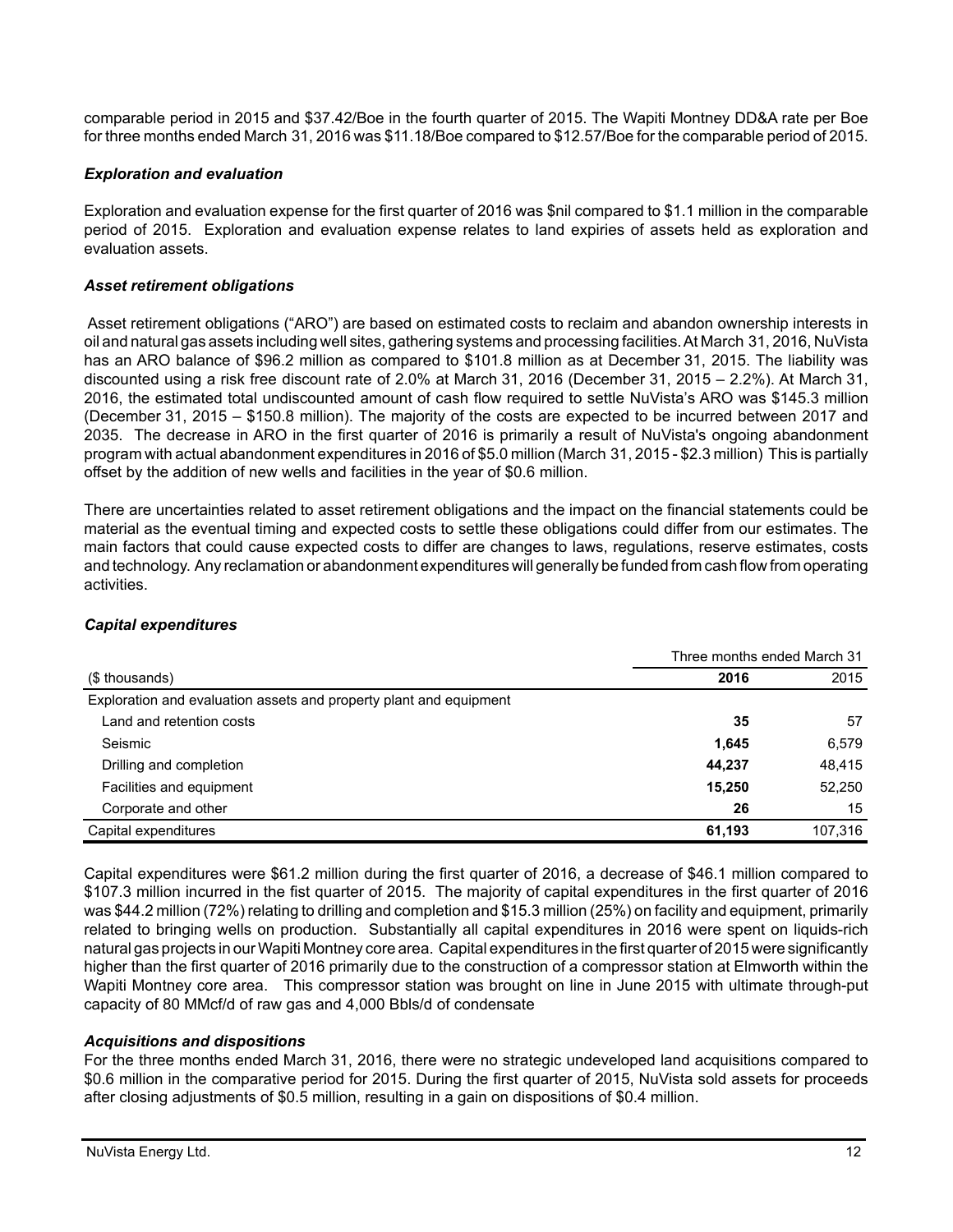comparable period in 2015 and \$37.42/Boe in the fourth quarter of 2015. The Wapiti Montney DD&A rate per Boe for three months ended March 31, 2016 was \$11.18/Boe compared to \$12.57/Boe for the comparable period of 2015.

# *Exploration and evaluation*

Exploration and evaluation expense for the first quarter of 2016 was \$nil compared to \$1.1 million in the comparable period of 2015. Exploration and evaluation expense relates to land expiries of assets held as exploration and evaluation assets.

### *Asset retirement obligations*

 Asset retirement obligations ("ARO") are based on estimated costs to reclaim and abandon ownership interests in oil and natural gas assets including well sites, gathering systems and processing facilities. At March 31, 2016, NuVista has an ARO balance of \$96.2 million as compared to \$101.8 million as at December 31, 2015. The liability was discounted using a risk free discount rate of 2.0% at March 31, 2016 (December 31, 2015 – 2.2%). At March 31, 2016, the estimated total undiscounted amount of cash flow required to settle NuVista's ARO was \$145.3 million (December 31, 2015 – \$150.8 million). The majority of the costs are expected to be incurred between 2017 and 2035. The decrease in ARO in the first quarter of 2016 is primarily a result of NuVista's ongoing abandonment program with actual abandonment expenditures in 2016 of \$5.0 million (March 31, 2015 - \$2.3 million) This is partially offset by the addition of new wells and facilities in the year of \$0.6 million.

There are uncertainties related to asset retirement obligations and the impact on the financial statements could be material as the eventual timing and expected costs to settle these obligations could differ from our estimates. The main factors that could cause expected costs to differ are changes to laws, regulations, reserve estimates, costs and technology. Any reclamation or abandonment expenditures will generally be funded from cash flow from operating activities.

#### *Capital expenditures*

|                                                                    | Three months ended March 31 |         |
|--------------------------------------------------------------------|-----------------------------|---------|
| (\$ thousands)                                                     | 2016                        | 2015    |
| Exploration and evaluation assets and property plant and equipment |                             |         |
| Land and retention costs                                           | 35                          | 57      |
| Seismic                                                            | 1,645                       | 6,579   |
| Drilling and completion                                            | 44.237                      | 48,415  |
| Facilities and equipment                                           | 15,250                      | 52,250  |
| Corporate and other                                                | 26                          | 15      |
| Capital expenditures                                               | 61,193                      | 107,316 |

Capital expenditures were \$61.2 million during the first quarter of 2016, a decrease of \$46.1 million compared to \$107.3 million incurred in the fist quarter of 2015. The majority of capital expenditures in the first quarter of 2016 was \$44.2 million (72%) relating to drilling and completion and \$15.3 million (25%) on facility and equipment, primarily related to bringing wells on production. Substantially all capital expenditures in 2016 were spent on liquids-rich natural gas projects in our Wapiti Montney core area. Capital expenditures in the first quarter of 2015 were significantly higher than the first quarter of 2016 primarily due to the construction of a compressor station at Elmworth within the Wapiti Montney core area. This compressor station was brought on line in June 2015 with ultimate through-put capacity of 80 MMcf/d of raw gas and 4,000 Bbls/d of condensate

#### *Acquisitions and dispositions*

For the three months ended March 31, 2016, there were no strategic undeveloped land acquisitions compared to \$0.6 million in the comparative period for 2015. During the first quarter of 2015, NuVista sold assets for proceeds after closing adjustments of \$0.5 million, resulting in a gain on dispositions of \$0.4 million.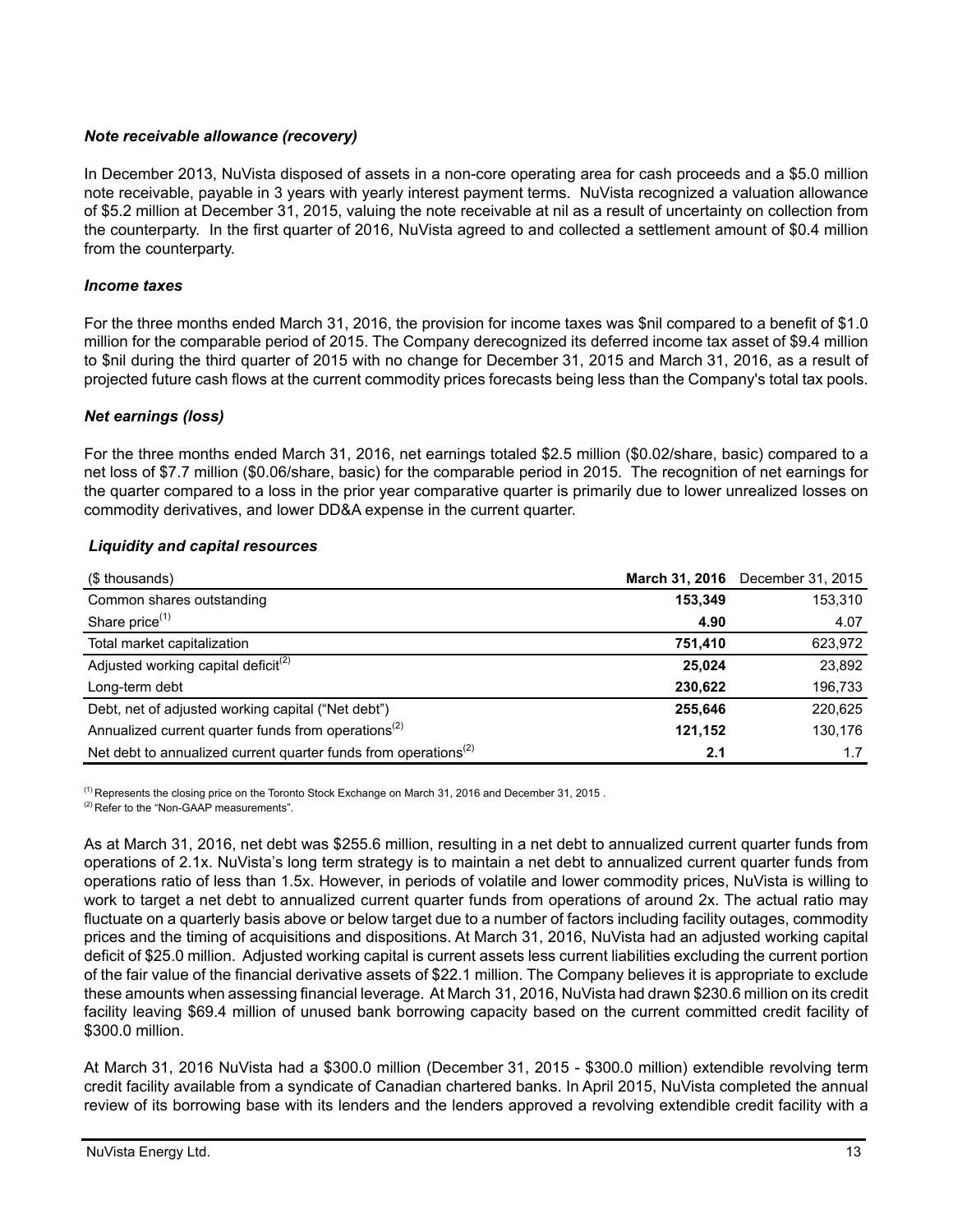# *Note receivable allowance (recovery)*

In December 2013, NuVista disposed of assets in a non-core operating area for cash proceeds and a \$5.0 million note receivable, payable in 3 years with yearly interest payment terms. NuVista recognized a valuation allowance of \$5.2 million at December 31, 2015, valuing the note receivable at nil as a result of uncertainty on collection from the counterparty. In the first quarter of 2016, NuVista agreed to and collected a settlement amount of \$0.4 million from the counterparty.

# *Income taxes*

For the three months ended March 31, 2016, the provision for income taxes was \$nil compared to a benefit of \$1.0 million for the comparable period of 2015. The Company derecognized its deferred income tax asset of \$9.4 million to \$nil during the third quarter of 2015 with no change for December 31, 2015 and March 31, 2016, as a result of projected future cash flows at the current commodity prices forecasts being less than the Company's total tax pools.

# *Net earnings (loss)*

For the three months ended March 31, 2016, net earnings totaled \$2.5 million (\$0.02/share, basic) compared to a net loss of \$7.7 million (\$0.06/share, basic) for the comparable period in 2015. The recognition of net earnings for the quarter compared to a loss in the prior year comparative quarter is primarily due to lower unrealized losses on commodity derivatives, and lower DD&A expense in the current quarter.

| <b>Liquidity and capital resources</b> |  |
|----------------------------------------|--|
|----------------------------------------|--|

| (\$ thousands)                                                                           |         | March 31, 2016 December 31, 2015 |
|------------------------------------------------------------------------------------------|---------|----------------------------------|
| Common shares outstanding                                                                | 153,349 | 153,310                          |
| Share price <sup>(1)</sup>                                                               | 4.90    | 4.07                             |
| Total market capitalization                                                              | 751.410 | 623,972                          |
| Adjusted working capital deficit <sup>(2)</sup>                                          | 25.024  | 23,892                           |
| Long-term debt                                                                           | 230.622 | 196,733                          |
| Debt, net of adjusted working capital ("Net debt")                                       | 255.646 | 220,625                          |
| Annualized current quarter funds from operations <sup>(2)</sup>                          | 121,152 | 130,176                          |
| Net debt to annualized current quarter funds from operations <sup><math>(2)</math></sup> | 2.1     | 1.7                              |

 $<sup>(1)</sup>$  Represents the closing price on the Toronto Stock Exchange on March 31, 2016 and December 31, 2015.</sup>

<sup>(2)</sup> Refer to the "Non-GAAP measurements".

As at March 31, 2016, net debt was \$255.6 million, resulting in a net debt to annualized current quarter funds from operations of 2.1x. NuVista's long term strategy is to maintain a net debt to annualized current quarter funds from operations ratio of less than 1.5x. However, in periods of volatile and lower commodity prices, NuVista is willing to work to target a net debt to annualized current quarter funds from operations of around 2x. The actual ratio may fluctuate on a quarterly basis above or below target due to a number of factors including facility outages, commodity prices and the timing of acquisitions and dispositions. At March 31, 2016, NuVista had an adjusted working capital deficit of \$25.0 million. Adjusted working capital is current assets less current liabilities excluding the current portion of the fair value of the financial derivative assets of \$22.1 million. The Company believes it is appropriate to exclude these amounts when assessing financial leverage. At March 31, 2016, NuVista had drawn \$230.6 million on its credit facility leaving \$69.4 million of unused bank borrowing capacity based on the current committed credit facility of \$300.0 million.

At March 31, 2016 NuVista had a \$300.0 million (December 31, 2015 - \$300.0 million) extendible revolving term credit facility available from a syndicate of Canadian chartered banks. In April 2015, NuVista completed the annual review of its borrowing base with its lenders and the lenders approved a revolving extendible credit facility with a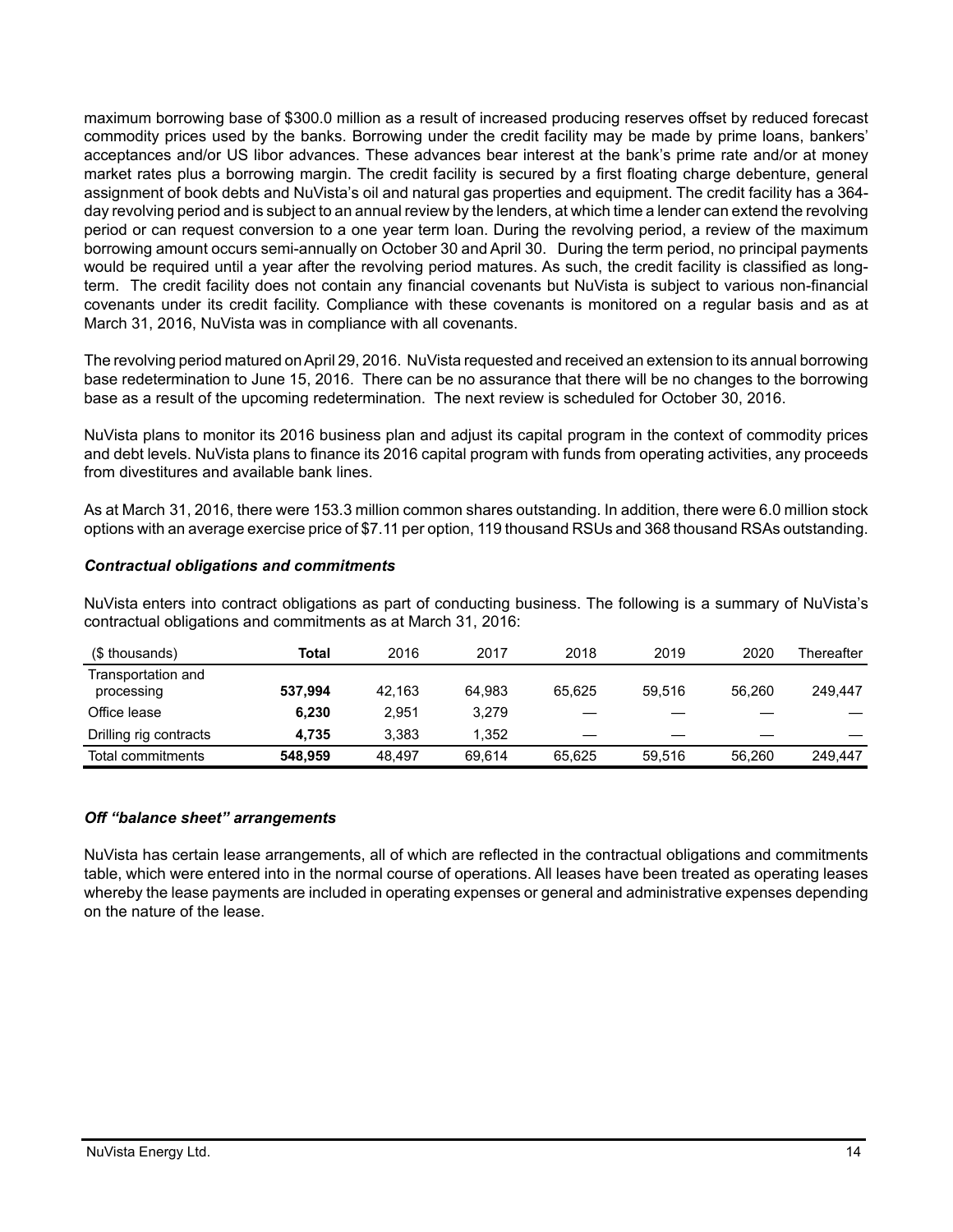maximum borrowing base of \$300.0 million as a result of increased producing reserves offset by reduced forecast commodity prices used by the banks. Borrowing under the credit facility may be made by prime loans, bankers' acceptances and/or US libor advances. These advances bear interest at the bank's prime rate and/or at money market rates plus a borrowing margin. The credit facility is secured by a first floating charge debenture, general assignment of book debts and NuVista's oil and natural gas properties and equipment. The credit facility has a 364 day revolving period and is subject to an annual review by the lenders, at which time a lender can extend the revolving period or can request conversion to a one year term loan. During the revolving period, a review of the maximum borrowing amount occurs semi-annually on October 30 and April 30. During the term period, no principal payments would be required until a year after the revolving period matures. As such, the credit facility is classified as longterm. The credit facility does not contain any financial covenants but NuVista is subject to various non-financial covenants under its credit facility. Compliance with these covenants is monitored on a regular basis and as at March 31, 2016, NuVista was in compliance with all covenants.

The revolving period matured on April 29, 2016. NuVista requested and received an extension to its annual borrowing base redetermination to June 15, 2016. There can be no assurance that there will be no changes to the borrowing base as a result of the upcoming redetermination. The next review is scheduled for October 30, 2016.

NuVista plans to monitor its 2016 business plan and adjust its capital program in the context of commodity prices and debt levels. NuVista plans to finance its 2016 capital program with funds from operating activities, any proceeds from divestitures and available bank lines.

As at March 31, 2016, there were 153.3 million common shares outstanding. In addition, there were 6.0 million stock options with an average exercise price of \$7.11 per option, 119 thousand RSUs and 368 thousand RSAs outstanding.

# *Contractual obligations and commitments*

NuVista enters into contract obligations as part of conducting business. The following is a summary of NuVista's contractual obligations and commitments as at March 31, 2016:

| (\$ thousands)                   | Total   | 2016   | 2017   | 2018   | 2019   | 2020   | Thereafter |
|----------------------------------|---------|--------|--------|--------|--------|--------|------------|
| Transportation and<br>processing | 537.994 | 42.163 | 64.983 | 65.625 | 59.516 | 56.260 | 249.447    |
| Office lease                     | 6,230   | 2.951  | 3.279  |        |        |        |            |
| Drilling rig contracts           | 4.735   | 3.383  | 1.352  |        |        |        |            |
| Total commitments                | 548,959 | 48.497 | 69.614 | 65.625 | 59.516 | 56.260 | 249.447    |

# *Off "balance sheet" arrangements*

NuVista has certain lease arrangements, all of which are reflected in the contractual obligations and commitments table, which were entered into in the normal course of operations. All leases have been treated as operating leases whereby the lease payments are included in operating expenses or general and administrative expenses depending on the nature of the lease.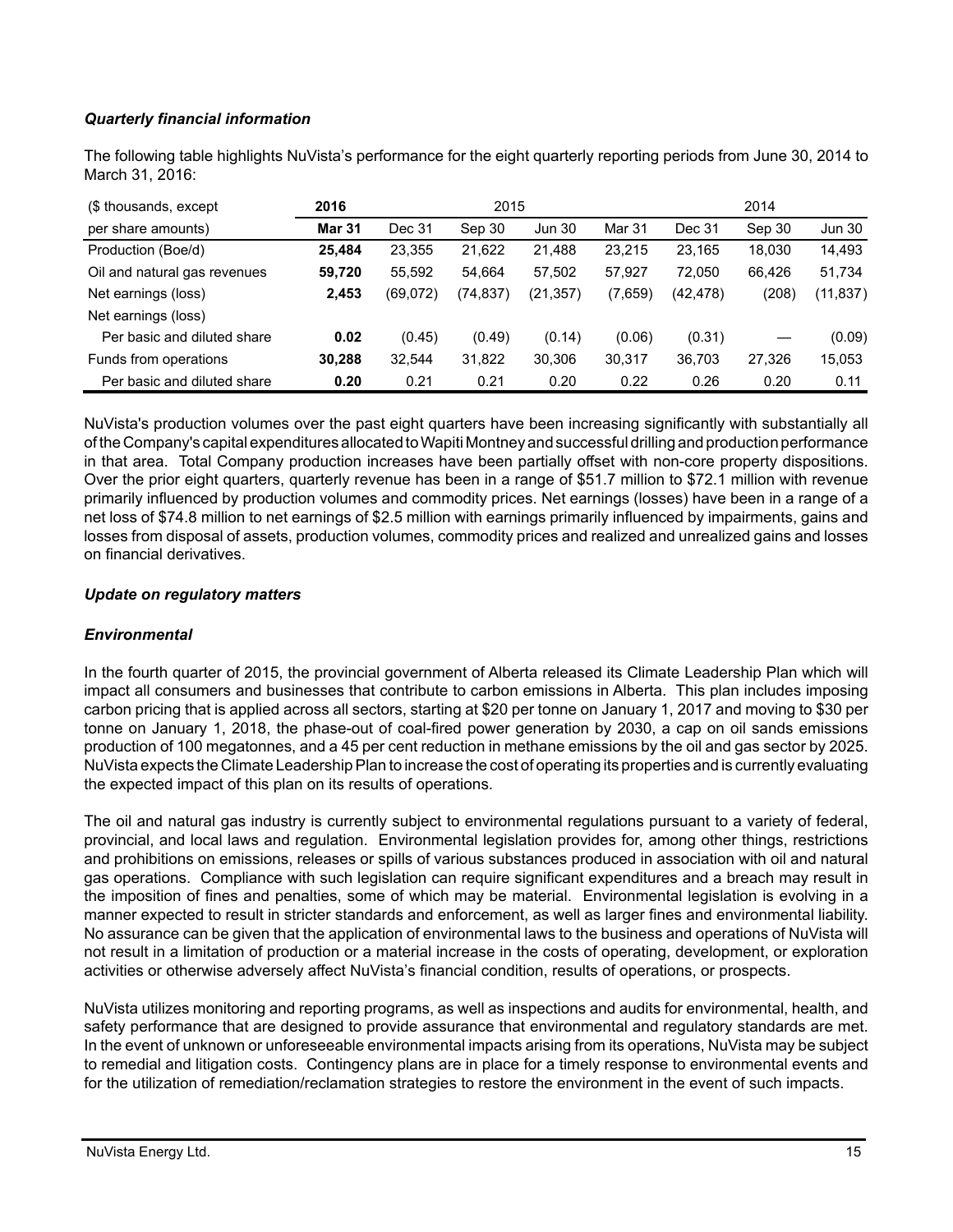# *Quarterly financial information*

The following table highlights NuVista's performance for the eight quarterly reporting periods from June 30, 2014 to March 31, 2016:

| (\$ thousands, except        | 2015<br>2016 |          |           |               |         | 2014      |        |               |
|------------------------------|--------------|----------|-----------|---------------|---------|-----------|--------|---------------|
| per share amounts)           | Mar 31       | Dec 31   | Sep 30    | <b>Jun 30</b> | Mar 31  | Dec 31    | Sep 30 | <b>Jun 30</b> |
| Production (Boe/d)           | 25.484       | 23,355   | 21,622    | 21,488        | 23,215  | 23,165    | 18,030 | 14,493        |
| Oil and natural gas revenues | 59,720       | 55.592   | 54.664    | 57,502        | 57.927  | 72.050    | 66.426 | 51,734        |
| Net earnings (loss)          | 2,453        | (69,072) | (74, 837) | (21,357)      | (7,659) | (42, 478) | (208)  | (11,837)      |
| Net earnings (loss)          |              |          |           |               |         |           |        |               |
| Per basic and diluted share  | 0.02         | (0.45)   | (0.49)    | (0.14)        | (0.06)  | (0.31)    |        | (0.09)        |
| Funds from operations        | 30,288       | 32,544   | 31,822    | 30,306        | 30,317  | 36,703    | 27,326 | 15,053        |
| Per basic and diluted share  | 0.20         | 0.21     | 0.21      | 0.20          | 0.22    | 0.26      | 0.20   | 0.11          |

NuVista's production volumes over the past eight quarters have been increasing significantly with substantially all of the Company's capital expenditures allocated to Wapiti Montney and successful drilling and production performance in that area. Total Company production increases have been partially offset with non-core property dispositions. Over the prior eight quarters, quarterly revenue has been in a range of \$51.7 million to \$72.1 million with revenue primarily influenced by production volumes and commodity prices. Net earnings (losses) have been in a range of a net loss of \$74.8 million to net earnings of \$2.5 million with earnings primarily influenced by impairments, gains and losses from disposal of assets, production volumes, commodity prices and realized and unrealized gains and losses on financial derivatives.

# *Update on regulatory matters*

# *Environmental*

In the fourth quarter of 2015, the provincial government of Alberta released its Climate Leadership Plan which will impact all consumers and businesses that contribute to carbon emissions in Alberta. This plan includes imposing carbon pricing that is applied across all sectors, starting at \$20 per tonne on January 1, 2017 and moving to \$30 per tonne on January 1, 2018, the phase-out of coal-fired power generation by 2030, a cap on oil sands emissions production of 100 megatonnes, and a 45 per cent reduction in methane emissions by the oil and gas sector by 2025. NuVista expects the Climate Leadership Plan to increase the cost of operating its properties and is currently evaluating the expected impact of this plan on its results of operations.

The oil and natural gas industry is currently subject to environmental regulations pursuant to a variety of federal, provincial, and local laws and regulation. Environmental legislation provides for, among other things, restrictions and prohibitions on emissions, releases or spills of various substances produced in association with oil and natural gas operations. Compliance with such legislation can require significant expenditures and a breach may result in the imposition of fines and penalties, some of which may be material. Environmental legislation is evolving in a manner expected to result in stricter standards and enforcement, as well as larger fines and environmental liability. No assurance can be given that the application of environmental laws to the business and operations of NuVista will not result in a limitation of production or a material increase in the costs of operating, development, or exploration activities or otherwise adversely affect NuVista's financial condition, results of operations, or prospects.

NuVista utilizes monitoring and reporting programs, as well as inspections and audits for environmental, health, and safety performance that are designed to provide assurance that environmental and regulatory standards are met. In the event of unknown or unforeseeable environmental impacts arising from its operations, NuVista may be subject to remedial and litigation costs. Contingency plans are in place for a timely response to environmental events and for the utilization of remediation/reclamation strategies to restore the environment in the event of such impacts.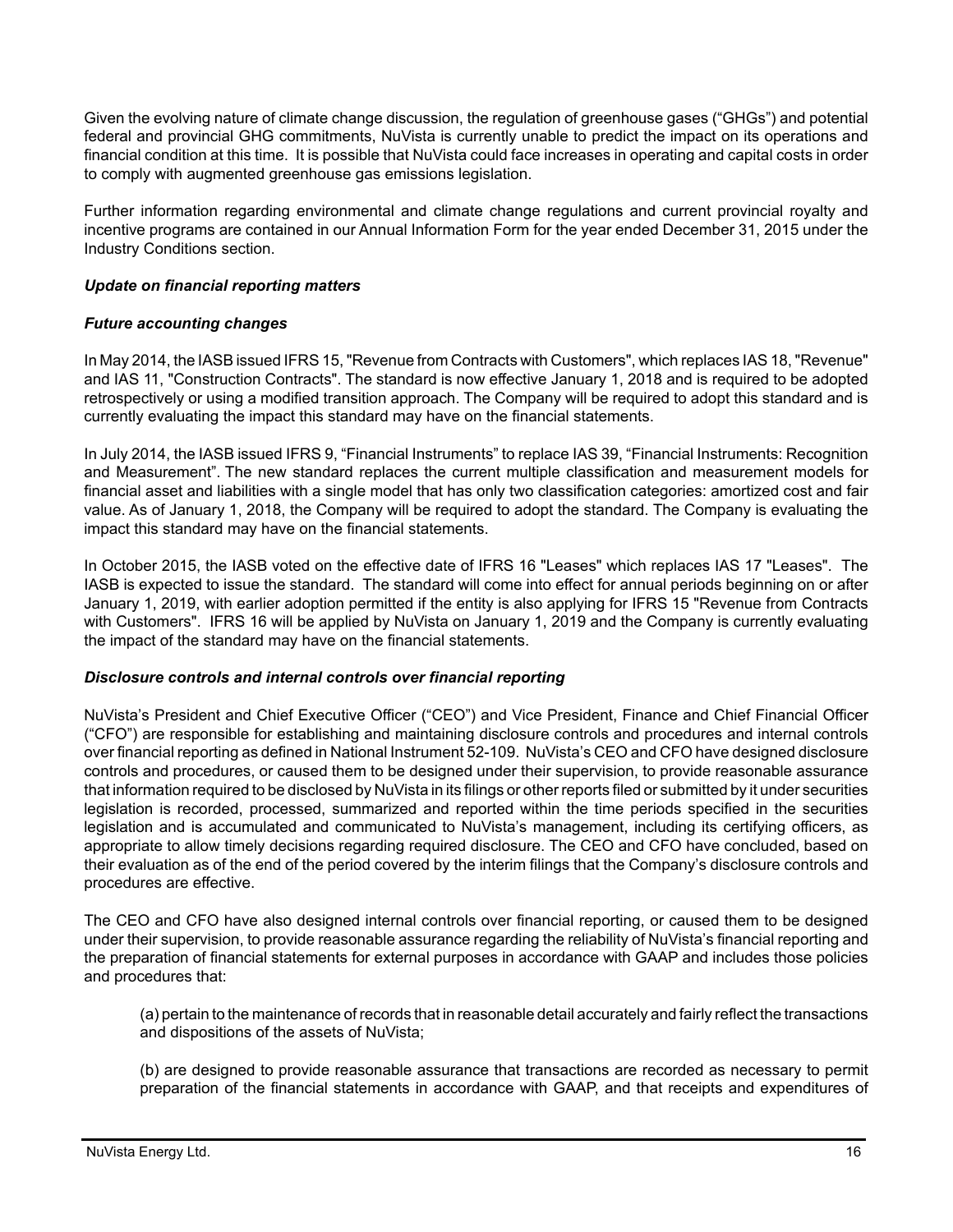Given the evolving nature of climate change discussion, the regulation of greenhouse gases ("GHGs") and potential federal and provincial GHG commitments, NuVista is currently unable to predict the impact on its operations and financial condition at this time. It is possible that NuVista could face increases in operating and capital costs in order to comply with augmented greenhouse gas emissions legislation.

Further information regarding environmental and climate change regulations and current provincial royalty and incentive programs are contained in our Annual Information Form for the year ended December 31, 2015 under the Industry Conditions section.

# *Update on financial reporting matters*

# *Future accounting changes*

In May 2014, the IASB issued IFRS 15, "Revenue from Contracts with Customers", which replaces IAS 18, "Revenue" and IAS 11, "Construction Contracts". The standard is now effective January 1, 2018 and is required to be adopted retrospectively or using a modified transition approach. The Company will be required to adopt this standard and is currently evaluating the impact this standard may have on the financial statements.

In July 2014, the IASB issued IFRS 9, "Financial Instruments" to replace IAS 39, "Financial Instruments: Recognition and Measurement". The new standard replaces the current multiple classification and measurement models for financial asset and liabilities with a single model that has only two classification categories: amortized cost and fair value. As of January 1, 2018, the Company will be required to adopt the standard. The Company is evaluating the impact this standard may have on the financial statements.

In October 2015, the IASB voted on the effective date of IFRS 16 "Leases" which replaces IAS 17 "Leases". The IASB is expected to issue the standard. The standard will come into effect for annual periods beginning on or after January 1, 2019, with earlier adoption permitted if the entity is also applying for IFRS 15 "Revenue from Contracts with Customers". IFRS 16 will be applied by NuVista on January 1, 2019 and the Company is currently evaluating the impact of the standard may have on the financial statements.

# *Disclosure controls and internal controls over financial reporting*

NuVista's President and Chief Executive Officer ("CEO") and Vice President, Finance and Chief Financial Officer ("CFO") are responsible for establishing and maintaining disclosure controls and procedures and internal controls over financial reporting as defined in National Instrument 52-109. NuVista's CEO and CFO have designed disclosure controls and procedures, or caused them to be designed under their supervision, to provide reasonable assurance that information required to be disclosed by NuVista in its filings or other reports filed or submitted by it under securities legislation is recorded, processed, summarized and reported within the time periods specified in the securities legislation and is accumulated and communicated to NuVista's management, including its certifying officers, as appropriate to allow timely decisions regarding required disclosure. The CEO and CFO have concluded, based on their evaluation as of the end of the period covered by the interim filings that the Company's disclosure controls and procedures are effective.

The CEO and CFO have also designed internal controls over financial reporting, or caused them to be designed under their supervision, to provide reasonable assurance regarding the reliability of NuVista's financial reporting and the preparation of financial statements for external purposes in accordance with GAAP and includes those policies and procedures that:

(a) pertain to the maintenance of records that in reasonable detail accurately and fairly reflect the transactions and dispositions of the assets of NuVista;

(b) are designed to provide reasonable assurance that transactions are recorded as necessary to permit preparation of the financial statements in accordance with GAAP, and that receipts and expenditures of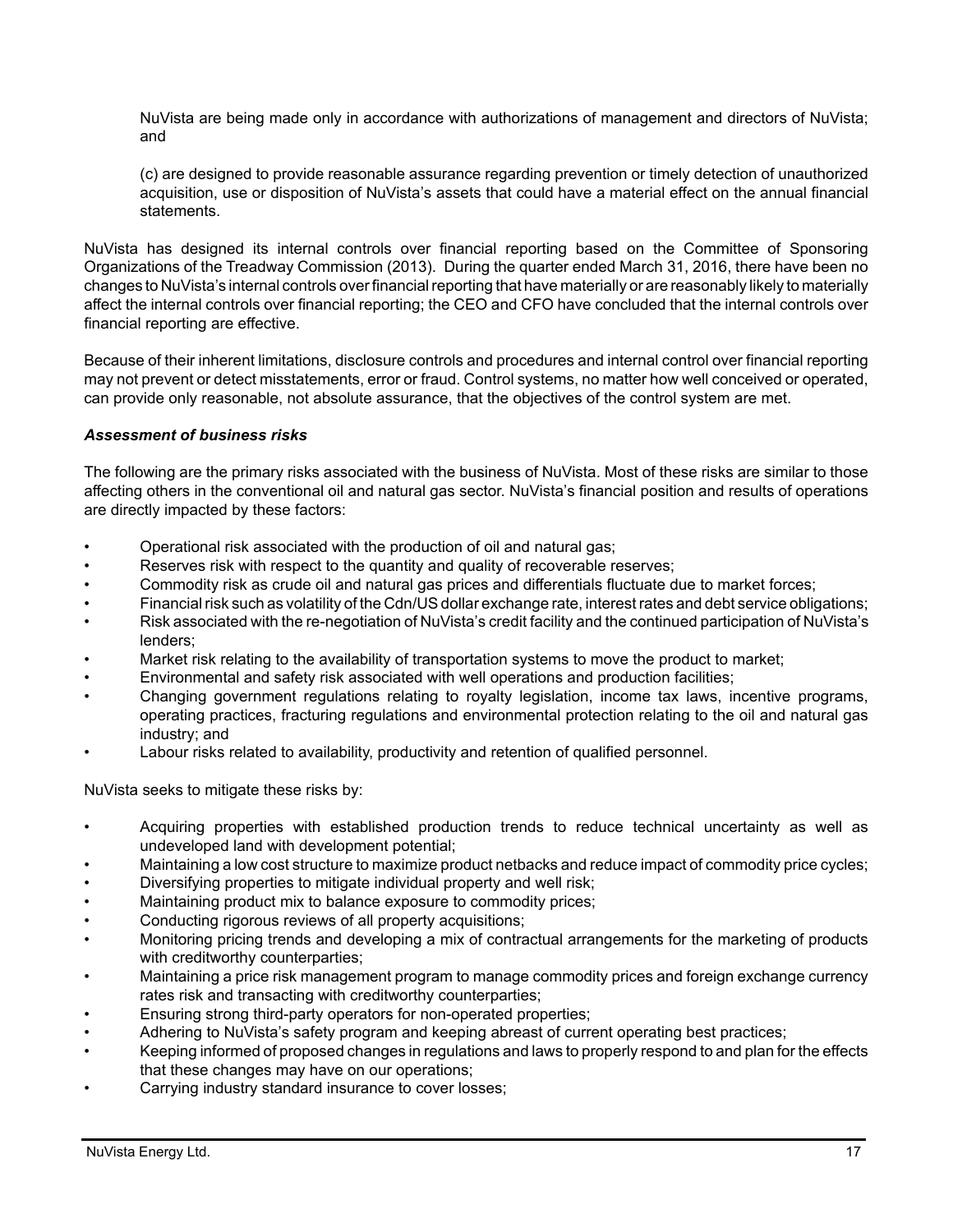NuVista are being made only in accordance with authorizations of management and directors of NuVista; and

(c) are designed to provide reasonable assurance regarding prevention or timely detection of unauthorized acquisition, use or disposition of NuVista's assets that could have a material effect on the annual financial statements.

NuVista has designed its internal controls over financial reporting based on the Committee of Sponsoring Organizations of the Treadway Commission (2013). During the quarter ended March 31, 2016, there have been no changes to NuVista's internal controls over financial reporting that have materially or are reasonably likely to materially affect the internal controls over financial reporting; the CEO and CFO have concluded that the internal controls over financial reporting are effective.

Because of their inherent limitations, disclosure controls and procedures and internal control over financial reporting may not prevent or detect misstatements, error or fraud. Control systems, no matter how well conceived or operated, can provide only reasonable, not absolute assurance, that the objectives of the control system are met.

# *Assessment of business risks*

The following are the primary risks associated with the business of NuVista. Most of these risks are similar to those affecting others in the conventional oil and natural gas sector. NuVista's financial position and results of operations are directly impacted by these factors:

- Operational risk associated with the production of oil and natural gas;
- Reserves risk with respect to the quantity and quality of recoverable reserves;
- Commodity risk as crude oil and natural gas prices and differentials fluctuate due to market forces;
- Financial risk such as volatility of the Cdn/US dollar exchange rate, interest rates and debt service obligations;
- Risk associated with the re-negotiation of NuVista's credit facility and the continued participation of NuVista's lenders;
- Market risk relating to the availability of transportation systems to move the product to market;
- Environmental and safety risk associated with well operations and production facilities;
- Changing government regulations relating to royalty legislation, income tax laws, incentive programs, operating practices, fracturing regulations and environmental protection relating to the oil and natural gas industry; and
- Labour risks related to availability, productivity and retention of qualified personnel.

NuVista seeks to mitigate these risks by:

- Acquiring properties with established production trends to reduce technical uncertainty as well as undeveloped land with development potential;
- Maintaining a low cost structure to maximize product netbacks and reduce impact of commodity price cycles;
- Diversifying properties to mitigate individual property and well risk;
- Maintaining product mix to balance exposure to commodity prices;
- Conducting rigorous reviews of all property acquisitions;
- Monitoring pricing trends and developing a mix of contractual arrangements for the marketing of products with creditworthy counterparties;
- Maintaining a price risk management program to manage commodity prices and foreign exchange currency rates risk and transacting with creditworthy counterparties;
- Ensuring strong third-party operators for non-operated properties;
- Adhering to NuVista's safety program and keeping abreast of current operating best practices;
- Keeping informed of proposed changes in regulations and laws to properly respond to and plan for the effects that these changes may have on our operations;
- Carrying industry standard insurance to cover losses;